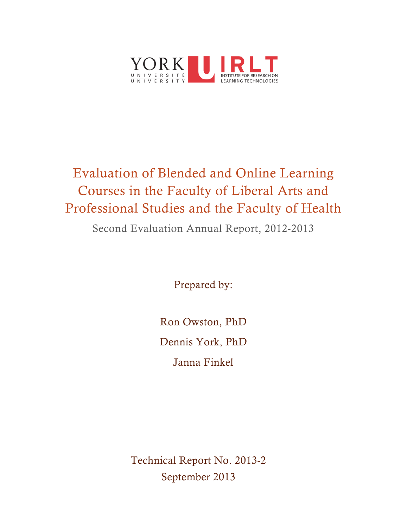

# Evaluation of Blended and Online Learning Courses in the Faculty of Liberal Arts and Professional Studies and the Faculty of Health Second Evaluation Annual Report, 2012-2013

Prepared by:

Ron Owston, PhD Dennis York, PhD Janna Finkel

Technical Report No. 2013-2 September 2013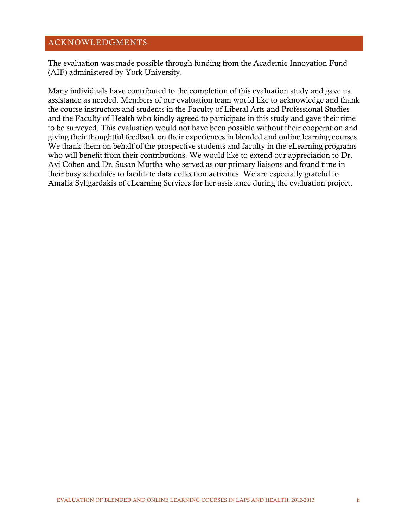# <span id="page-1-0"></span>ACKNOWLEDGMENTS

The evaluation was made possible through funding from the Academic Innovation Fund (AIF) administered by York University.

Many individuals have contributed to the completion of this evaluation study and gave us assistance as needed. Members of our evaluation team would like to acknowledge and thank the course instructors and students in the Faculty of Liberal Arts and Professional Studies and the Faculty of Health who kindly agreed to participate in this study and gave their time to be surveyed. This evaluation would not have been possible without their cooperation and giving their thoughtful feedback on their experiences in blended and online learning courses. We thank them on behalf of the prospective students and faculty in the eLearning programs who will benefit from their contributions. We would like to extend our appreciation to Dr. Avi Cohen and Dr. Susan Murtha who served as our primary liaisons and found time in their busy schedules to facilitate data collection activities. We are especially grateful to Amalia Syligardakis of eLearning Services for her assistance during the evaluation project.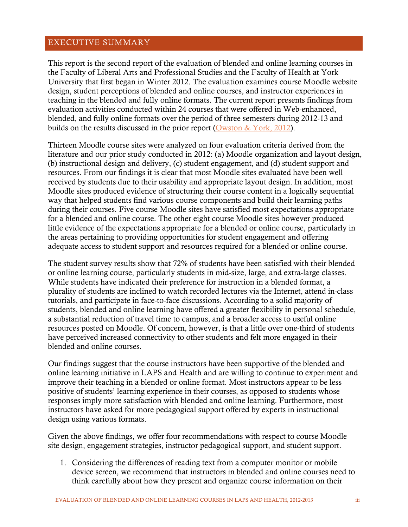# <span id="page-2-0"></span>EXECUTIVE SUMMARY

This report is the second report of the evaluation of blended and online learning courses in the Faculty of Liberal Arts and Professional Studies and the Faculty of Health at York University that first began in Winter 2012. The evaluation examines course Moodle website design, student perceptions of blended and online courses, and instructor experiences in teaching in the blended and fully online formats. The current report presents findings from evaluation activities conducted within 24 courses that were offered in Web-enhanced, blended, and fully online formats over the period of three semesters during 2012-13 and builds on the results discussed in the prior report [\(Owston & York, 2012\)](http://irlt.yorku.ca/reports/TechReport2012-3.pdf).

Thirteen Moodle course sites were analyzed on four evaluation criteria derived from the literature and our prior study conducted in 2012: (a) Moodle organization and layout design, (b) instructional design and delivery, (c) student engagement, and (d) student support and resources. From our findings it is clear that most Moodle sites evaluated have been well received by students due to their usability and appropriate layout design. In addition, most Moodle sites produced evidence of structuring their course content in a logically sequential way that helped students find various course components and build their learning paths during their courses. Five course Moodle sites have satisfied most expectations appropriate for a blended and online course. The other eight course Moodle sites however produced little evidence of the expectations appropriate for a blended or online course, particularly in the areas pertaining to providing opportunities for student engagement and offering adequate access to student support and resources required for a blended or online course.

The student survey results show that 72% of students have been satisfied with their blended or online learning course, particularly students in mid-size, large, and extra-large classes. While students have indicated their preference for instruction in a blended format, a plurality of students are inclined to watch recorded lectures via the Internet, attend in-class tutorials, and participate in face-to-face discussions. According to a solid majority of students, blended and online learning have offered a greater flexibility in personal schedule, a substantial reduction of travel time to campus, and a broader access to useful online resources posted on Moodle. Of concern, however, is that a little over one-third of students have perceived increased connectivity to other students and felt more engaged in their blended and online courses.

Our findings suggest that the course instructors have been supportive of the blended and online learning initiative in LAPS and Health and are willing to continue to experiment and improve their teaching in a blended or online format. Most instructors appear to be less positive of students' learning experience in their courses, as opposed to students whose responses imply more satisfaction with blended and online learning. Furthermore, most instructors have asked for more pedagogical support offered by experts in instructional design using various formats.

Given the above findings, we offer four recommendations with respect to course Moodle site design, engagement strategies, instructor pedagogical support, and student support.

1. Considering the differences of reading text from a computer monitor or mobile device screen, we recommend that instructors in blended and online courses need to think carefully about how they present and organize course information on their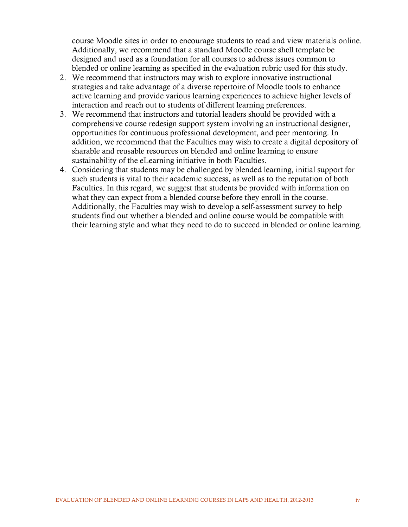course Moodle sites in order to encourage students to read and view materials online. Additionally, we recommend that a standard Moodle course shell template be designed and used as a foundation for all courses to address issues common to blended or online learning as specified in the evaluation rubric used for this study.

- 2. We recommend that instructors may wish to explore innovative instructional strategies and take advantage of a diverse repertoire of Moodle tools to enhance active learning and provide various learning experiences to achieve higher levels of interaction and reach out to students of different learning preferences.
- 3. We recommend that instructors and tutorial leaders should be provided with a comprehensive course redesign support system involving an instructional designer, opportunities for continuous professional development, and peer mentoring. In addition, we recommend that the Faculties may wish to create a digital depository of sharable and reusable resources on blended and online learning to ensure sustainability of the eLearning initiative in both Faculties.
- 4. Considering that students may be challenged by blended learning, initial support for such students is vital to their academic success, as well as to the reputation of both Faculties. In this regard, we suggest that students be provided with information on what they can expect from a blended course before they enroll in the course. Additionally, the Faculties may wish to develop a self-assessment survey to help students find out whether a blended and online course would be compatible with their learning style and what they need to do to succeed in blended or online learning.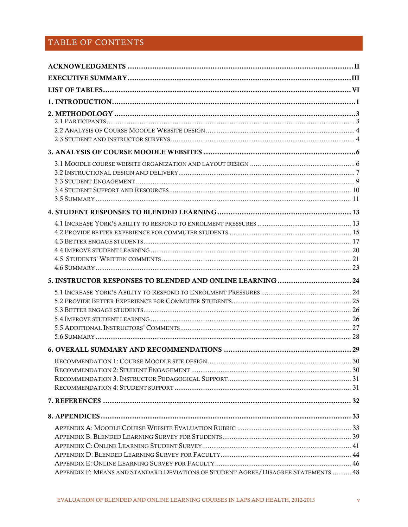# TABLE OF CONTENTS

| 5. INSTRUCTOR RESPONSES TO BLENDED AND ONLINE LEARNING  24 |  |
|------------------------------------------------------------|--|
|                                                            |  |
|                                                            |  |
|                                                            |  |
|                                                            |  |
|                                                            |  |
|                                                            |  |
|                                                            |  |
|                                                            |  |
|                                                            |  |
|                                                            |  |
|                                                            |  |
|                                                            |  |
|                                                            |  |
|                                                            |  |
|                                                            |  |
|                                                            |  |
|                                                            |  |
|                                                            |  |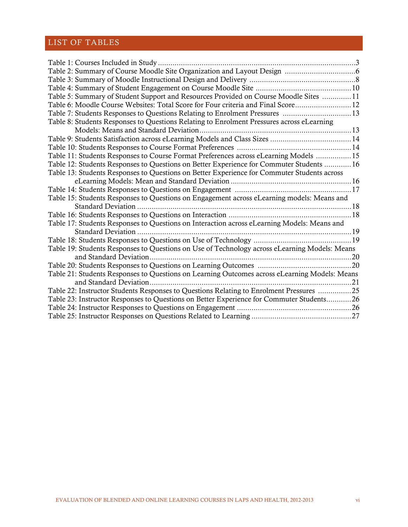# <span id="page-5-0"></span>LIST OF TABLES

| Table 5: Summary of Student Support and Resources Provided on Course Moodle Sites  11         |  |
|-----------------------------------------------------------------------------------------------|--|
| Table 6: Moodle Course Websites: Total Score for Four criteria and Final Score 12             |  |
| Table 7: Students Responses to Questions Relating to Enrolment Pressures 13                   |  |
| Table 8: Students Responses to Questions Relating to Enrolment Pressures across eLearning     |  |
|                                                                                               |  |
| Table 9: Students Satisfaction across eLearning Models and Class Sizes  14                    |  |
|                                                                                               |  |
| Table 11: Students Responses to Course Format Preferences across eLearning Models 15          |  |
| Table 12: Students Responses to Questions on Better Experience for Commuter Students  16      |  |
| Table 13: Students Responses to Questions on Better Experience for Commuter Students across   |  |
|                                                                                               |  |
|                                                                                               |  |
| Table 15: Students Responses to Questions on Engagement across eLearning models: Means and    |  |
|                                                                                               |  |
|                                                                                               |  |
| Table 17: Students Responses to Questions on Interaction across eLearning Models: Means and   |  |
|                                                                                               |  |
|                                                                                               |  |
| Table 19: Students Responses to Questions on Use of Technology across eLearning Models: Means |  |
| and Standard Deviation                                                                        |  |
|                                                                                               |  |
| Table 21: Students Responses to Questions on Learning Outcomes across eLearning Models: Means |  |
|                                                                                               |  |
| Table 22: Instructor Students Responses to Questions Relating to Enrolment Pressures 25       |  |
| Table 23: Instructor Responses to Questions on Better Experience for Commuter Students26      |  |
|                                                                                               |  |
|                                                                                               |  |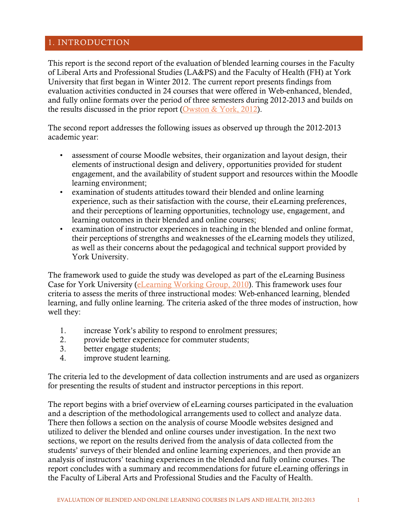# <span id="page-6-0"></span>1. INTRODUCTION

This report is the second report of the evaluation of blended learning courses in the Faculty of Liberal Arts and Professional Studies (LA&PS) and the Faculty of Health (FH) at York University that first began in Winter 2012. The current report presents findings from evaluation activities conducted in 24 courses that were offered in Web-enhanced, blended, and fully online formats over the period of three semesters during 2012-2013 and builds on the results discussed in the prior report [\(Owston & York, 2012\)](http://irlt.yorku.ca/reports/TechReport2012-3.pdf).

The second report addresses the following issues as observed up through the 2012-2013 academic year:

- assessment of course Moodle websites, their organization and layout design, their elements of instructional design and delivery, opportunities provided for student engagement, and the availability of student support and resources within the Moodle learning environment;
- examination of students attitudes toward their blended and online learning experience, such as their satisfaction with the course, their eLearning preferences, and their perceptions of learning opportunities, technology use, engagement, and learning outcomes in their blended and online courses;
- examination of instructor experiences in teaching in the blended and online format, their perceptions of strengths and weaknesses of the eLearning models they utilized, as well as their concerns about the pedagogical and technical support provided by York University.

The framework used to guide the study was developed as part of the eLearning Business Case for York University [\(eLearning Working Group, 2010\)](http://irlt.yorku.ca/reports/E-learningcasefinalversion.pdf). This framework uses four criteria to assess the merits of three instructional modes: Web-enhanced learning, blended learning, and fully online learning. The criteria asked of the three modes of instruction, how well they:

- 1. increase York's ability to respond to enrolment pressures;
- 2. provide better experience for commuter students;
- 3. better engage students;
- 4. improve student learning.

The criteria led to the development of data collection instruments and are used as organizers for presenting the results of student and instructor perceptions in this report.

The report begins with a brief overview of eLearning courses participated in the evaluation and a description of the methodological arrangements used to collect and analyze data. There then follows a section on the analysis of course Moodle websites designed and utilized to deliver the blended and online courses under investigation. In the next two sections, we report on the results derived from the analysis of data collected from the students' surveys of their blended and online learning experiences, and then provide an analysis of instructors' teaching experiences in the blended and fully online courses. The report concludes with a summary and recommendations for future eLearning offerings in the Faculty of Liberal Arts and Professional Studies and the Faculty of Health.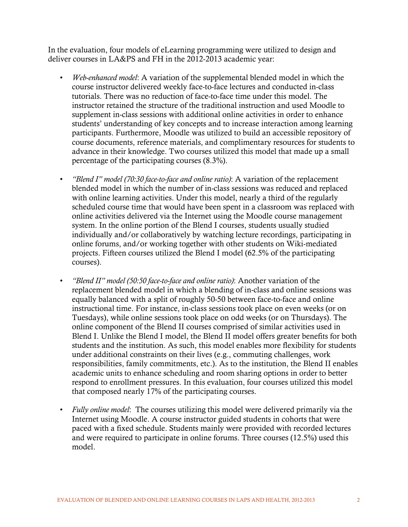In the evaluation, four models of eLearning programming were utilized to design and deliver courses in LA&PS and FH in the 2012-2013 academic year:

- *Web-enhanced model*: A variation of the supplemental blended model in which the course instructor delivered weekly face-to-face lectures and conducted in-class tutorials. There was no reduction of face-to-face time under this model. The instructor retained the structure of the traditional instruction and used Moodle to supplement in-class sessions with additional online activities in order to enhance students' understanding of key concepts and to increase interaction among learning participants. Furthermore, Moodle was utilized to build an accessible repository of course documents, reference materials, and complimentary resources for students to advance in their knowledge. Two courses utilized this model that made up a small percentage of the participating courses (8.3%).
- *"Blend I" model (70:30 face-to-face and online ratio)*: A variation of the replacement blended model in which the number of in-class sessions was reduced and replaced with online learning activities. Under this model, nearly a third of the regularly scheduled course time that would have been spent in a classroom was replaced with online activities delivered via the Internet using the Moodle course management system. In the online portion of the Blend I courses, students usually studied individually and/or collaboratively by watching lecture recordings, participating in online forums, and/or working together with other students on Wiki-mediated projects. Fifteen courses utilized the Blend I model (62.5% of the participating courses).
- *"Blend II" model (50:50 face-to-face and online ratio)*: Another variation of the replacement blended model in which a blending of in-class and online sessions was equally balanced with a split of roughly 50-50 between face-to-face and online instructional time. For instance, in-class sessions took place on even weeks (or on Tuesdays), while online sessions took place on odd weeks (or on Thursdays). The online component of the Blend II courses comprised of similar activities used in Blend I. Unlike the Blend I model, the Blend II model offers greater benefits for both students and the institution. As such, this model enables more flexibility for students under additional constraints on their lives (e.g., commuting challenges, work responsibilities, family commitments, etc.). As to the institution, the Blend II enables academic units to enhance scheduling and room sharing options in order to better respond to enrollment pressures. In this evaluation, four courses utilized this model that composed nearly 17% of the participating courses.
- *Fully online model*: The courses utilizing this model were delivered primarily via the Internet using Moodle. A course instructor guided students in cohorts that were paced with a fixed schedule. Students mainly were provided with recorded lectures and were required to participate in online forums. Three courses (12.5%) used this model.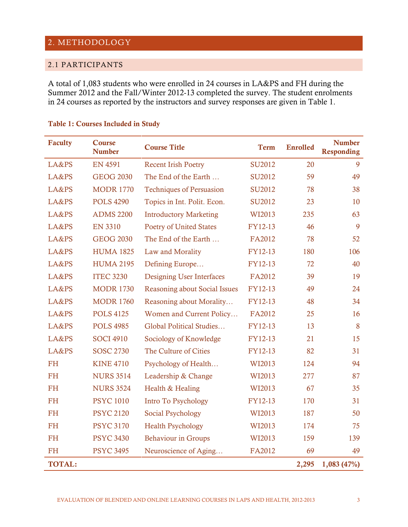# <span id="page-8-0"></span>2. METHODOLOGY

# <span id="page-8-1"></span>2.1 PARTICIPANTS

A total of 1,083 students who were enrolled in 24 courses in LA&PS and FH during the Summer 2012 and the Fall/Winter 2012-13 completed the survey. The student enrolments in 24 courses as reported by the instructors and survey responses are given in Table 1.

| <b>Faculty</b> | Course<br><b>Number</b> | <b>Course Title</b>                  | <b>Term</b>   | <b>Enrolled</b> | <b>Number</b><br><b>Responding</b> |
|----------------|-------------------------|--------------------------------------|---------------|-----------------|------------------------------------|
| LA&PS          | <b>EN 4591</b>          | <b>Recent Irish Poetry</b>           | SU2012        | 20              | 9                                  |
| LA&PS          | <b>GEOG 2030</b>        | The End of the Earth                 | <b>SU2012</b> | 59              | 49                                 |
| LA&PS          | <b>MODR 1770</b>        | <b>Techniques of Persuasion</b>      | SU2012        | 78              | 38                                 |
| LA&PS          | <b>POLS 4290</b>        | Topics in Int. Polit. Econ.          | SU2012        | 23              | 10                                 |
| LA&PS          | <b>ADMS 2200</b>        | <b>Introductory Marketing</b>        | WI2013        | 235             | 63                                 |
| LA&PS          | <b>EN 3310</b>          | <b>Poetry of United States</b>       | FY12-13       | 46              | 9                                  |
| LA&PS          | <b>GEOG 2030</b>        | The End of the Earth                 | FA2012        | 78              | 52                                 |
| LA&PS          | <b>HUMA 1825</b>        | Law and Morality                     | FY12-13       | 180             | 106                                |
| LA&PS          | <b>HUMA 2195</b>        | Defining Europe                      | FY12-13       | 72              | 40                                 |
| LA&PS          | <b>ITEC 3230</b>        | <b>Designing User Interfaces</b>     | FA2012        | 39              | 19                                 |
| LA&PS          | <b>MODR 1730</b>        | <b>Reasoning about Social Issues</b> | FY12-13       | 49              | 24                                 |
| LA&PS          | <b>MODR 1760</b>        | Reasoning about Morality             | FY12-13       | 48              | 34                                 |
| LA&PS          | <b>POLS 4125</b>        | Women and Current Policy             | FA2012        | 25              | 16                                 |
| LA&PS          | <b>POLS 4985</b>        | Global Political Studies             | FY12-13       | 13              | 8                                  |
| LA&PS          | <b>SOCI 4910</b>        | Sociology of Knowledge               | FY12-13       | 21              | 15                                 |
| LA&PS          | <b>SOSC 2730</b>        | The Culture of Cities                | FY12-13       | 82              | 31                                 |
| <b>FH</b>      | <b>KINE 4710</b>        | Psychology of Health                 | WI2013        | 124             | 94                                 |
| <b>FH</b>      | <b>NURS 3514</b>        | Leadership & Change                  | WI2013        | 277             | 87                                 |
| <b>FH</b>      | <b>NURS 3524</b>        | Health & Healing                     | WI2013        | 67              | 35                                 |
| <b>FH</b>      | <b>PSYC 1010</b>        | <b>Intro To Psychology</b>           | FY12-13       | 170             | 31                                 |
| <b>FH</b>      | <b>PSYC 2120</b>        | <b>Social Psychology</b>             | WI2013        | 187             | 50                                 |
| <b>FH</b>      | <b>PSYC 3170</b>        | <b>Health Psychology</b>             | WI2013        | 174             | 75                                 |
| <b>FH</b>      | <b>PSYC 3430</b>        | <b>Behaviour in Groups</b>           | WI2013        | 159             | 139                                |
| <b>FH</b>      | <b>PSYC 3495</b>        | Neuroscience of Aging                | FA2012        | 69              | 49                                 |
| <b>TOTAL:</b>  |                         |                                      |               | 2,295           | 1,083(47%)                         |

#### <span id="page-8-2"></span>Table 1: Courses Included in Study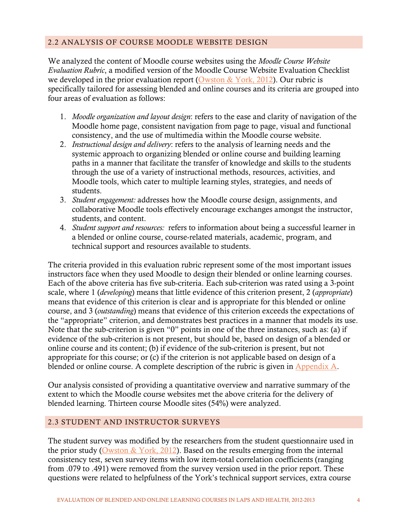# <span id="page-9-0"></span>2.2 ANALYSIS OF COURSE MOODLE WEBSITE DESIGN

We analyzed the content of Moodle course websites using the *Moodle Course Website Evaluation Rubric*, a modified version of the Moodle Course Website Evaluation Checklist we developed in the prior evaluation report [\(Owston & York, 2012\)](http://irlt.yorku.ca/reports/TechReport2012-3.pdf). Our rubric is specifically tailored for assessing blended and online courses and its criteria are grouped into four areas of evaluation as follows:

- 1. *Moodle organization and layout design*: refers to the ease and clarity of navigation of the Moodle home page, consistent navigation from page to page, visual and functional consistency, and the use of multimedia within the Moodle course website.
- 2. *Instructional design and delivery*: refers to the analysis of learning needs and the systemic approach to organizing blended or online course and building learning paths in a manner that facilitate the transfer of knowledge and skills to the students through the use of a variety of instructional methods, resources, activities, and Moodle tools, which cater to multiple learning styles, strategies, and needs of students.
- 3. *Student engagement:* addresses how the Moodle course design, assignments, and collaborative Moodle tools effectively encourage exchanges amongst the instructor, students, and content.
- 4. *Student support and resources:* refers to information about being a successful learner in a blended or online course, course-related materials, academic, program, and technical support and resources available to students.

The criteria provided in this evaluation rubric represent some of the most important issues instructors face when they used Moodle to design their blended or online learning courses. Each of the above criteria has five sub-criteria. Each sub-criterion was rated using a 3-point scale, where 1 (*developing*) means that little evidence of this criterion present, 2 (*appropriate*) means that evidence of this criterion is clear and is appropriate for this blended or online course, and 3 (*outstanding*) means that evidence of this criterion exceeds the expectations of the "appropriate" criterion, and demonstrates best practices in a manner that models its use. Note that the sub-criterion is given "0" points in one of the three instances, such as: (a) if evidence of the sub-criterion is not present, but should be, based on design of a blended or online course and its content; (b) if evidence of the sub-criterion is present, but not appropriate for this course; or (c) if the criterion is not applicable based on design of a blended or online course. A complete description of the rubric is given in [Appendix A.](#page-38-1)

Our analysis consisted of providing a quantitative overview and narrative summary of the extent to which the Moodle course websites met the above criteria for the delivery of blended learning. Thirteen course Moodle sites (54%) were analyzed.

# <span id="page-9-1"></span>2.3 STUDENT AND INSTRUCTOR SURVEYS

The student survey was modified by the researchers from the student questionnaire used in the prior study [\(Owston & York, 2012\)](http://irlt.yorku.ca/reports/TechReport2012-3.pdf). Based on the results emerging from the internal consistency test, seven survey items with low item-total correlation coefficients (ranging from .079 to .491) were removed from the survey version used in the prior report. These questions were related to helpfulness of the York's technical support services, extra course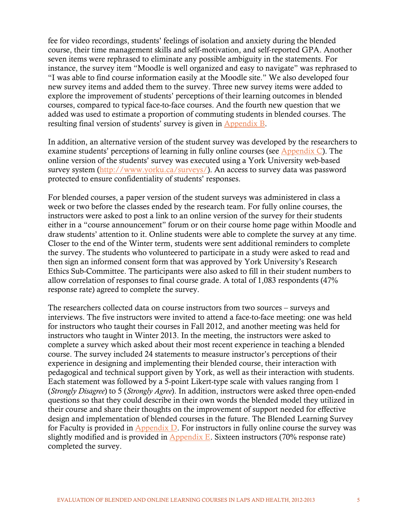fee for video recordings, students' feelings of isolation and anxiety during the blended course, their time management skills and self-motivation, and self-reported GPA. Another seven items were rephrased to eliminate any possible ambiguity in the statements. For instance, the survey item "Moodle is well organized and easy to navigate" was rephrased to "I was able to find course information easily at the Moodle site." We also developed four new survey items and added them to the survey. Three new survey items were added to explore the improvement of students' perceptions of their learning outcomes in blended courses, compared to typical face-to-face courses. And the fourth new question that we added was used to estimate a proportion of commuting students in blended courses. The resulting final version of students' survey is given in [Appendix B.](#page-44-0)

In addition, an alternative version of the student survey was developed by the researchers to examine students' perceptions of learning in fully online courses (see [Appendix C\)](#page-46-0). The online version of the students' survey was executed using a York University web-based survey system [\(http://www.yorku.ca/surveys/\)](http://www.yorku.ca/surveys/). An access to survey data was password protected to ensure confidentiality of students' responses.

For blended courses, a paper version of the student surveys was administered in class a week or two before the classes ended by the research team. For fully online courses, the instructors were asked to post a link to an online version of the survey for their students either in a "course announcement" forum or on their course home page within Moodle and draw students' attention to it. Online students were able to complete the survey at any time. Closer to the end of the Winter term, students were sent additional reminders to complete the survey. The students who volunteered to participate in a study were asked to read and then sign an informed consent form that was approved by York University's Research Ethics Sub-Committee. The participants were also asked to fill in their student numbers to allow correlation of responses to final course grade. A total of 1,083 respondents (47% response rate) agreed to complete the survey.

The researchers collected data on course instructors from two sources – surveys and interviews. The five instructors were invited to attend a face-to-face meeting: one was held for instructors who taught their courses in Fall 2012, and another meeting was held for instructors who taught in Winter 2013. In the meeting, the instructors were asked to complete a survey which asked about their most recent experience in teaching a blended course. The survey included 24 statements to measure instructor's perceptions of their experience in designing and implementing their blended course, their interaction with pedagogical and technical support given by York, as well as their interaction with students. Each statement was followed by a 5-point Likert-type scale with values ranging from 1 (*Strongly Disagree*) to 5 (*Strongly Agree*). In addition, instructors were asked three open-ended questions so that they could describe in their own words the blended model they utilized in their course and share their thoughts on the improvement of support needed for effective design and implementation of blended courses in the future. The Blended Learning Survey for Faculty is provided in Appendix  $D$ . For instructors in fully online course the survey was slightly modified and is provided in [Appendix E.](#page-51-0) Sixteen instructors  $(70\%$  response rate) completed the survey.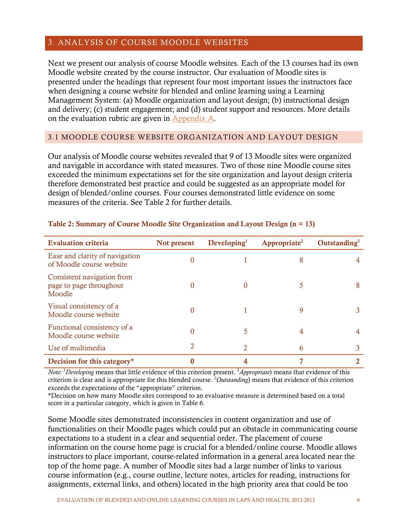# <span id="page-11-0"></span>3. ANALYSIS OF COURSE MOODLE WEBSITES

Next we present our analysis of course Moodle websites. Each of the 13 courses had its own Moodle website created by the course instructor. Our evaluation of Moodle sites is presented under the headings that represent four most important issues the instructors face when designing a course website for blended and online learning using a Learning Management System: (a) Moodle organization and layout design; (b) instructional design and delivery; (c) student engagement; and (d) student support and resources. More details on the evaluation rubric are given in [Appendix A.](#page-38-1)

#### <span id="page-11-1"></span>3.1 MOODLE COURSE WEBSITE ORGANIZATION AND LAYOUT DESIGN

Our analysis of Moodle course websites revealed that 9 of 13 Moodle sites were organized and navigable in accordance with stated measures. Two of those nine Moodle course sites exceeded the minimum expectations set for the site organization and layout design criteria therefore demonstrated best practice and could be suggested as an appropriate model for design of blended/online courses. Four courses demonstrated little evidence on some measures of the criteria. See Table 2 for further details.

| <b>Evaluation criteria</b>                                      | Not present | $\bf Developing1$ | Appropriate <sup>2</sup> | Outstanding $3$ |
|-----------------------------------------------------------------|-------------|-------------------|--------------------------|-----------------|
| Ease and clarity of navigation<br>of Moodle course website      |             |                   | 8                        |                 |
| Consistent navigation from<br>page to page throughout<br>Moodle | 0           | $\Omega$          |                          | 8               |
| Visual consistency of a<br>Moodle course website                | 0           |                   | 9                        |                 |
| Functional consistency of a<br>Moodle course website            | 0           |                   | 4                        |                 |
| Use of multimedia                                               | 2           |                   | 6                        |                 |
| Decision for this category*                                     |             |                   |                          |                 |

#### <span id="page-11-2"></span>Table 2: Summary of Course Moodle Site Organization and Layout Design (n = 13)

*Note*: <sup>1</sup>Developing means that little evidence of this criterion present. <sup>2</sup>Appropriate) means that evidence of this criterion is clear and is appropriate for this blended course. 3 *Outstanding*) means that evidence of this criterion exceeds the expectations of the "appropriate" criterion.

\*Decision on how many Moodle sites correspond to an evaluative measure is determined based on a total score in a particular category, which is given in Table 6.

Some Moodle sites demonstrated inconsistencies in content organization and use of functionalities on their Moodle pages which could put an obstacle in communicating course expectations to a student in a clear and sequential order. The placement of course information on the course home page is crucial for a blended/online course. Moodle allows instructors to place important, course-related information in a general area located near the top of the home page. A number of Moodle sites had a large number of links to various course information (e.g., course outline, lecture notes, articles for reading, instructions for assignments, external links, and others) located in the high priority area that could be too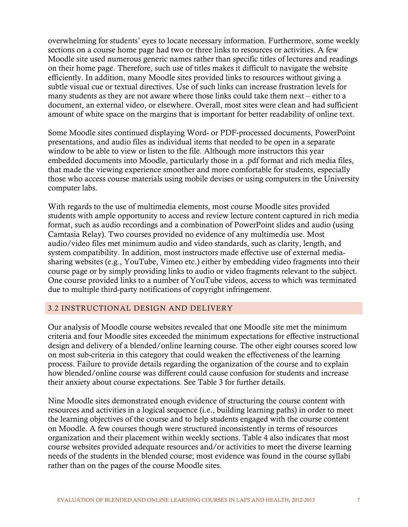overwhelming for students' eyes to locate necessary information. Furthermore, some weekly sections on a course home page had two or three links to resources or activities. A few Moodle site used numerous generic names rather than specific titles of lectures and readings on their home page. Therefore, such use of titles makes it difficult to navigate the website efficiently. In addition, many Moodle sites provided links to resources without giving a subtle visual cue or textual directives. Use of such links can increase frustration levels for many students as they are not aware where those links could take them next – either to a document, an external video, or elsewhere. Overall, most sites were clean and had sufficient amount of white space on the margins that is important for better readability of online text.

Some Moodle sites continued displaying Word- or PDF-processed documents, PowerPoint presentations, and audio files as individual items that needed to be open in a separate window to be able to view or listen to the file. Although more instructors this year embedded documents into Moodle, particularly those in a .pdf format and rich media files, that made the viewing experience smoother and more comfortable for students, especially those who access course materials using mobile devises or using computers in the University computer labs.

With regards to the use of multimedia elements, most course Moodle sites provided students with ample opportunity to access and review lecture content captured in rich media format, such as audio recordings and a combination of PowerPoint slides and audio (using Camtasia Relay). Two courses provided no evidence of any multimedia use. Most audio/video files met minimum audio and video standards, such as clarity, length, and system compatibility. In addition, most instructors made effective use of external mediasharing websites (e.g., YouTube, Vimeo etc.) either by embedding video fragments into their course page or by simply providing links to audio or video fragments relevant to the subject. One course provided links to a number of YouTube videos, access to which was terminated due to multiple third-party notifications of copyright infringement.

# <span id="page-12-0"></span>3.2 INSTRUCTIONAL DESIGN AND DELIVERY

Our analysis of Moodle course websites revealed that one Moodle site met the minimum criteria and four Moodle sites exceeded the minimum expectations for effective instructional design and delivery of a blended/online learning course. The other eight courses scored low on most sub-criteria in this category that could weaken the effectiveness of the learning process. Failure to provide details regarding the organization of the course and to explain how blended/online course was different could cause confusion for students and increase their anxiety about course expectations. See Table 3 for further details.

<span id="page-12-1"></span>Nine Moodle sites demonstrated enough evidence of structuring the course content with resources and activities in a logical sequence (i.e., building learning paths) in order to meet the learning objectives of the course and to help students engaged with the course content on Moodle. A few courses though were structured inconsistently in terms of resources organization and their placement within weekly sections. Table 4 also indicates that most course websites provided adequate resources and/or activities to meet the diverse learning needs of the students in the blended course; most evidence was found in the course syllabi rather than on the pages of the course Moodle sites.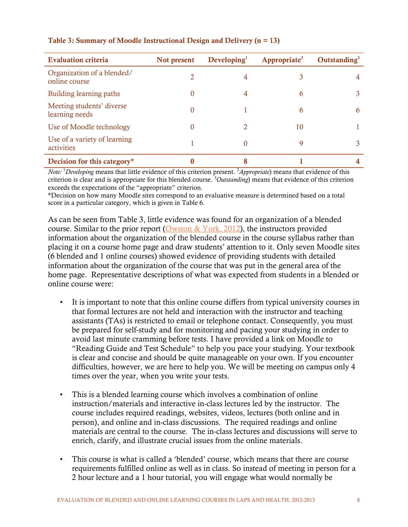| <b>Evaluation criteria</b>                  | Not present | $\bf Developing1$ | Appropriate <sup>2</sup> | Outstanding $3$ |
|---------------------------------------------|-------------|-------------------|--------------------------|-----------------|
| Organization of a blended/<br>online course |             | 4                 |                          |                 |
| Building learning paths                     | 0           | 4                 | 6                        |                 |
| Meeting students' diverse<br>learning needs | 0           |                   | 6                        | 6               |
| Use of Moodle technology                    | 0           | 2                 | 10                       |                 |
| Use of a variety of learning<br>activities  |             |                   | 9                        |                 |
| Decision for this category*                 |             |                   |                          |                 |

# Table 3: Summary of Moodle Instructional Design and Delivery (n = 13)

*Note:* <sup>1</sup>Developing means that little evidence of this criterion present. <sup>2</sup>Appropriate) means that evidence of this criterion is clear and is appropriate for this blended course. 3 *Outstanding*) means that evidence of this criterion exceeds the expectations of the "appropriate" criterion.

\*Decision on how many Moodle sites correspond to an evaluative measure is determined based on a total score in a particular category, which is given in Table 6.

As can be seen from Table 3, little evidence was found for an organization of a blended course. Similar to the prior report [\(Owston & York, 2012\)](http://irlt.yorku.ca/reports/TechReport2012-3.pdf), the instructors provided information about the organization of the blended course in the course syllabus rather than placing it on a course home page and draw students' attention to it. Only seven Moodle sites (6 blended and 1 online courses) showed evidence of providing students with detailed information about the organization of the course that was put in the general area of the home page. Representative descriptions of what was expected from students in a blended or online course were:

- It is important to note that this online course differs from typical university courses in that formal lectures are not held and interaction with the instructor and teaching assistants (TAs) is restricted to email or telephone contact. Consequently, you must be prepared for self-study and for monitoring and pacing your studying in order to avoid last minute cramming before tests. I have provided a link on Moodle to "Reading Guide and Test Schedule" to help you pace your studying. Your textbook is clear and concise and should be quite manageable on your own. If you encounter difficulties, however, we are here to help you. We will be meeting on campus only 4 times over the year, when you write your tests.
- This is a blended learning course which involves a combination of online instruction/materials and interactive in-class lectures led by the instructor. The course includes required readings, websites, videos, lectures (both online and in person), and online and in-class discussions. The required readings and online materials are central to the course. The in-class lectures and discussions will serve to enrich, clarify, and illustrate crucial issues from the online materials.
- This course is what is called a 'blended' course, which means that there are course requirements fulfilled online as well as in class. So instead of meeting in person for a 2 hour lecture and a 1 hour tutorial, you will engage what would normally be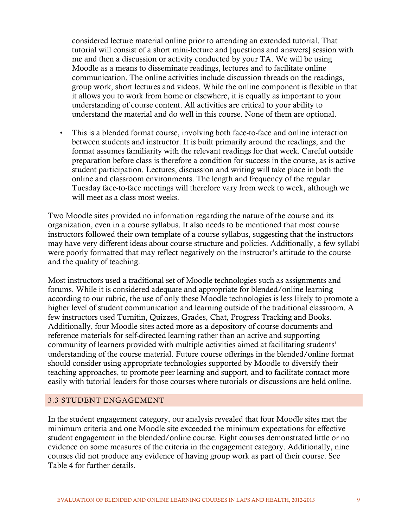considered lecture material online prior to attending an extended tutorial. That tutorial will consist of a short mini-lecture and [questions and answers] session with me and then a discussion or activity conducted by your TA. We will be using Moodle as a means to disseminate readings, lectures and to facilitate online communication. The online activities include discussion threads on the readings, group work, short lectures and videos. While the online component is flexible in that it allows you to work from home or elsewhere, it is equally as important to your understanding of course content. All activities are critical to your ability to understand the material and do well in this course. None of them are optional.

• This is a blended format course, involving both face-to-face and online interaction between students and instructor. It is built primarily around the readings, and the format assumes familiarity with the relevant readings for that week. Careful outside preparation before class is therefore a condition for success in the course, as is active student participation. Lectures, discussion and writing will take place in both the online and classroom environments. The length and frequency of the regular Tuesday face-to-face meetings will therefore vary from week to week, although we will meet as a class most weeks.

Two Moodle sites provided no information regarding the nature of the course and its organization, even in a course syllabus. It also needs to be mentioned that most course instructors followed their own template of a course syllabus, suggesting that the instructors may have very different ideas about course structure and policies. Additionally, a few syllabi were poorly formatted that may reflect negatively on the instructor's attitude to the course and the quality of teaching.

Most instructors used a traditional set of Moodle technologies such as assignments and forums. While it is considered adequate and appropriate for blended/online learning according to our rubric, the use of only these Moodle technologies is less likely to promote a higher level of student communication and learning outside of the traditional classroom. A few instructors used Turnitin, Quizzes, Grades, Chat, Progress Tracking and Books. Additionally, four Moodle sites acted more as a depository of course documents and reference materials for self-directed learning rather than an active and supporting community of learners provided with multiple activities aimed at facilitating students' understanding of the course material. Future course offerings in the blended/online format should consider using appropriate technologies supported by Moodle to diversify their teaching approaches, to promote peer learning and support, and to facilitate contact more easily with tutorial leaders for those courses where tutorials or discussions are held online.

# <span id="page-14-0"></span>3.3 STUDENT ENGAGEMENT

In the student engagement category, our analysis revealed that four Moodle sites met the minimum criteria and one Moodle site exceeded the minimum expectations for effective student engagement in the blended/online course. Eight courses demonstrated little or no evidence on some measures of the criteria in the engagement category. Additionally, nine courses did not produce any evidence of having group work as part of their course. See Table 4 for further details.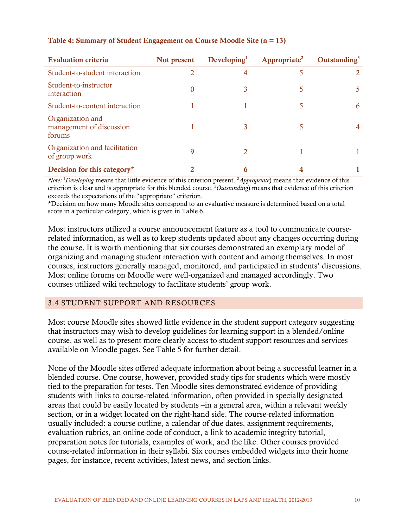| <b>Evaluation criteria</b>                             | Not present | Developing <sup>1</sup> | Appropriate <sup>2</sup> | Outstanding $3$ |
|--------------------------------------------------------|-------------|-------------------------|--------------------------|-----------------|
| Student-to-student interaction                         |             |                         |                          |                 |
| Student-to-instructor<br>interaction                   | 0           |                         |                          |                 |
| Student-to-content interaction                         |             |                         |                          | h               |
| Organization and<br>management of discussion<br>forums |             |                         |                          |                 |
| Organization and facilitation<br>of group work         | 9           |                         |                          |                 |
| Decision for this category*                            |             | 6                       |                          |                 |

### <span id="page-15-1"></span>Table 4: Summary of Student Engagement on Course Moodle Site (n = 13)

*Note:* <sup>1</sup>Developing means that little evidence of this criterion present. <sup>2</sup>Appropriate) means that evidence of this criterion is clear and is appropriate for this blended course. 3 *Outstanding*) means that evidence of this criterion exceeds the expectations of the "appropriate" criterion.

\*Decision on how many Moodle sites correspond to an evaluative measure is determined based on a total score in a particular category, which is given in Table 6.

Most instructors utilized a course announcement feature as a tool to communicate courserelated information, as well as to keep students updated about any changes occurring during the course. It is worth mentioning that six courses demonstrated an exemplary model of organizing and managing student interaction with content and among themselves. In most courses, instructors generally managed, monitored, and participated in students' discussions. Most online forums on Moodle were well-organized and managed accordingly. Two courses utilized wiki technology to facilitate students' group work.

#### <span id="page-15-0"></span>3.4 STUDENT SUPPORT AND RESOURCES

Most course Moodle sites showed little evidence in the student support category suggesting that instructors may wish to develop guidelines for learning support in a blended/online course, as well as to present more clearly access to student support resources and services available on Moodle pages. See Table 5 for further detail.

None of the Moodle sites offered adequate information about being a successful learner in a blended course. One course, however, provided study tips for students which were mostly tied to the preparation for tests. Ten Moodle sites demonstrated evidence of providing students with links to course-related information, often provided in specially designated areas that could be easily located by students –in a general area, within a relevant weekly section, or in a widget located on the right-hand side. The course-related information usually included: a course outline, a calendar of due dates, assignment requirements, evaluation rubrics, an online code of conduct, a link to academic integrity tutorial, preparation notes for tutorials, examples of work, and the like. Other courses provided course-related information in their syllabi. Six courses embedded widgets into their home pages, for instance, recent activities, latest news, and section links.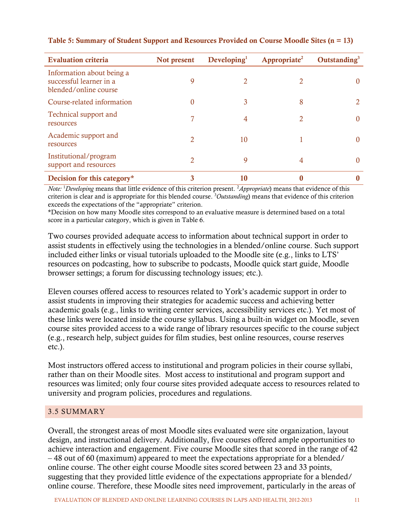| <b>Evaluation criteria</b>                                                    | Not present | $\bf Developing1$ | Appropriate <sup>2</sup> | Outstanding $3$ |
|-------------------------------------------------------------------------------|-------------|-------------------|--------------------------|-----------------|
| Information about being a<br>successful learner in a<br>blended/online course | 9           |                   |                          |                 |
| Course-related information                                                    | $\theta$    | 3                 | 8                        |                 |
| Technical support and<br>resources                                            | 7           | 4                 | 2                        |                 |
| Academic support and<br>resources                                             | 2           | 10                |                          |                 |
| Institutional/program<br>support and resources                                | 2           | 9                 | 4                        |                 |
| Decision for this category*                                                   | 3           | 10                |                          |                 |

# <span id="page-16-1"></span>Table 5: Summary of Student Support and Resources Provided on Course Moodle Sites (n = 13)

*Note:* <sup>1</sup>Developing means that little evidence of this criterion present. <sup>2</sup>Appropriate) means that evidence of this criterion is clear and is appropriate for this blended course. 3 *Outstanding*) means that evidence of this criterion exceeds the expectations of the "appropriate" criterion.

\*Decision on how many Moodle sites correspond to an evaluative measure is determined based on a total score in a particular category, which is given in Table 6.

Two courses provided adequate access to information about technical support in order to assist students in effectively using the technologies in a blended/online course. Such support included either links or visual tutorials uploaded to the Moodle site (e.g., links to LTS' resources on podcasting, how to subscribe to podcasts, Moodle quick start guide, Moodle browser settings; a forum for discussing technology issues; etc.).

Eleven courses offered access to resources related to York's academic support in order to assist students in improving their strategies for academic success and achieving better academic goals (e.g., links to writing center services, accessibility services etc.). Yet most of these links were located inside the course syllabus. Using a built-in widget on Moodle, seven course sites provided access to a wide range of library resources specific to the course subject (e.g., research help, subject guides for film studies, best online resources, course reserves etc.).

Most instructors offered access to institutional and program policies in their course syllabi, rather than on their Moodle sites. Most access to institutional and program support and resources was limited; only four course sites provided adequate access to resources related to university and program policies, procedures and regulations.

# <span id="page-16-0"></span>3.5 SUMMARY

Overall, the strongest areas of most Moodle sites evaluated were site organization, layout design, and instructional delivery. Additionally, five courses offered ample opportunities to achieve interaction and engagement. Five course Moodle sites that scored in the range of 42 – 48 out of 60 (maximum) appeared to meet the expectations appropriate for a blended/ online course. The other eight course Moodle sites scored between 23 and 33 points, suggesting that they provided little evidence of the expectations appropriate for a blended/ online course. Therefore, these Moodle sites need improvement, particularly in the areas of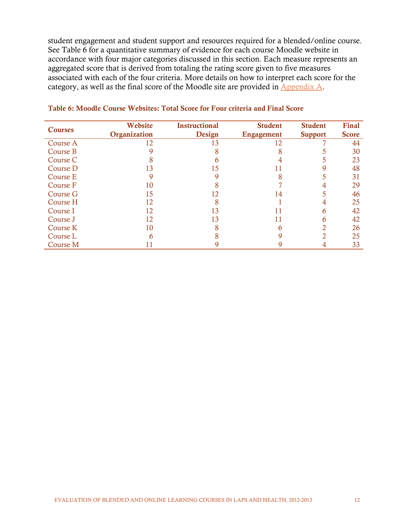student engagement and student support and resources required for a blended/online course. See Table 6 for a quantitative summary of evidence for each course Moodle website in accordance with four major categories discussed in this section. Each measure represents an aggregated score that is derived from totaling the rating score given to five measures associated with each of the four criteria. More details on how to interpret each score for the category, as well as the final score of the Moodle site are provided in  $\Delta$ ppendix  $\Delta$ .

|                | Website      | <b>Instructional</b> | <b>Student</b> | <b>Student</b> | <b>Final</b> |
|----------------|--------------|----------------------|----------------|----------------|--------------|
| <b>Courses</b> | Organization | Design               | Engagement     | <b>Support</b> | <b>Score</b> |
| Course A       | 12           | 13                   | 12             |                | 44           |
| Course B       |              |                      |                |                | 30           |
| Course C       |              |                      |                |                | 23           |
| Course D       | 13           | 15                   |                |                | 48           |
| Course E       |              |                      |                |                | 31           |
| Course F       | 10           |                      |                |                | 29           |
| Course G       | 15           | 12                   | 14             |                | 46           |
| Course H       | 12           |                      |                |                | 25           |
| Course I       | 12           | 13                   | 11             | 6              | 42           |
| Course J       | 12           | 13                   | 11             |                | 42           |
| Course K       | 10           |                      |                |                | 26           |
| Course L       |              |                      |                |                | 25           |
| Course M       |              |                      |                |                | 33           |

#### <span id="page-17-0"></span>Table 6: Moodle Course Websites: Total Score for Four criteria and Final Score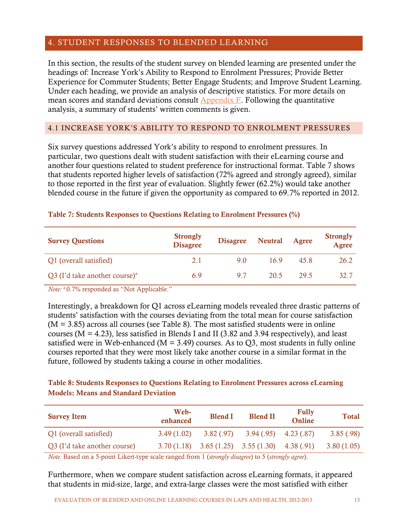# <span id="page-18-0"></span>4. STUDENT RESPONSES TO BLENDED LEARNING

In this section, the results of the student survey on blended learning are presented under the headings of: Increase York's Ability to Respond to Enrolment Pressures; Provide Better Experience for Commuter Students; Better Engage Students; and Improve Student Learning. Under each heading, we provide an analysis of descriptive statistics. For more details on mean scores and standard deviations consult [Appendix F.](#page-53-0) Following the quantitative analysis, a summary of students' written comments is given.

# <span id="page-18-1"></span>4.1 INCREASE YORK'S ABILITY TO RESPOND TO ENROLMENT PRESSURES

Six survey questions addressed York's ability to respond to enrolment pressures. In particular, two questions dealt with student satisfaction with their eLearning course and another four questions related to student preference for instructional format. Table 7 shows that students reported higher levels of satisfaction (72% agreed and strongly agreed), similar to those reported in the first year of evaluation. Slightly fewer (62.2%) would take another blended course in the future if given the opportunity as compared to 69.7% reported in 2012.

| <b>Survey Questions</b>                   | <b>Strongly</b><br><b>Disagree</b> | <b>Disagree</b> | <b>Neutral</b> | Agree | <b>Strongly</b><br><b>Agree</b> |
|-------------------------------------------|------------------------------------|-----------------|----------------|-------|---------------------------------|
| Q1 (overall satisfied)                    | 2.1                                | 9.0             | 169            | 45.8  | 26.2                            |
| Q3 (I'd take another course) <sup>a</sup> | 6.9                                | 97              | 20.5           | 29.5  | 32.7                            |

#### <span id="page-18-2"></span>Table 7: Students Responses to Questions Relating to Enrolment Pressures (%)

*Note:* <sup>a</sup> 0.7% responded as "Not Applicable."

Interestingly, a breakdown for Q1 across eLearning models revealed three drastic patterns of students' satisfaction with the courses deviating from the total mean for course satisfaction  $(M = 3.85)$  across all courses (see Table 8). The most satisfied students were in online courses ( $M = 4.23$ ), less satisfied in Blends I and II (3.82 and 3.94 respectively), and least satisfied were in Web-enhanced ( $M = 3.49$ ) courses. As to Q3, most students in fully online courses reported that they were most likely take another course in a similar format in the future, followed by students taking a course in other modalities.

# <span id="page-18-3"></span>Table 8: Students Responses to Questions Relating to Enrolment Pressures across eLearning Models: Means and Standard Deviation

| <b>Survey Item</b>           | Web-<br>enhanced | <b>Blend I</b> | <b>Blend II</b>                                    | <b>Fully</b><br>Online | <b>Total</b> |
|------------------------------|------------------|----------------|----------------------------------------------------|------------------------|--------------|
| Q1 (overall satisfied)       | 3.49(1.02)       |                | $3.82(.97)$ $3.94(.95)$ $4.23(.87)$                |                        | 3.85(.98)    |
| Q3 (I'd take another course) |                  |                | $3.70(1.18)$ $3.65(1.25)$ $3.55(1.30)$ $4.38(.91)$ |                        | 3.80(1.05)   |

*Note.* Based on a 5-point Likert-type scale ranged from 1 (*strongly disagree*) to 5 (*strongly agree*).

Furthermore, when we compare student satisfaction across eLearning formats, it appeared that students in mid-size, large, and extra-large classes were the most satisfied with either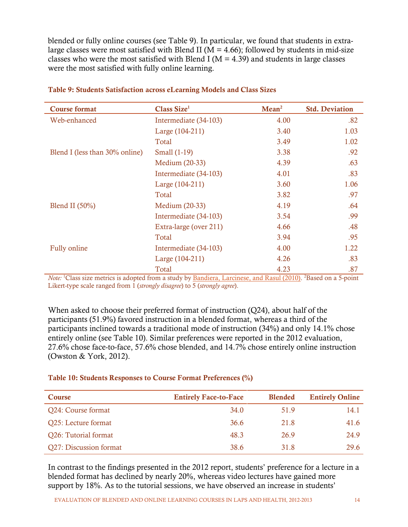blended or fully online courses (see Table 9). In particular, we found that students in extralarge classes were most satisfied with Blend II ( $M = 4.66$ ); followed by students in mid-size classes who were the most satisfied with Blend I ( $M = 4.39$ ) and students in large classes were the most satisfied with fully online learning.

| <b>Course format</b>                                                                                                                                                                                                                                                      | Class Size <sup>1</sup> | Mean <sup>2</sup>                                     | <b>Std. Deviation</b> |
|---------------------------------------------------------------------------------------------------------------------------------------------------------------------------------------------------------------------------------------------------------------------------|-------------------------|-------------------------------------------------------|-----------------------|
| Web-enhanced                                                                                                                                                                                                                                                              | Intermediate (34-103)   | 4.00                                                  | .82                   |
|                                                                                                                                                                                                                                                                           | Large (104-211)         | 3.40                                                  | 1.03                  |
|                                                                                                                                                                                                                                                                           | Total                   | 3.49                                                  | 1.02                  |
| Blend I (less than 30% online)                                                                                                                                                                                                                                            | Small (1-19)            | 3.38                                                  | .92                   |
|                                                                                                                                                                                                                                                                           | Medium (20-33)          | 4.39                                                  | .63                   |
|                                                                                                                                                                                                                                                                           | Intermediate (34-103)   | 4.01                                                  | .83                   |
|                                                                                                                                                                                                                                                                           | Large (104-211)         | 3.60                                                  | 1.06                  |
|                                                                                                                                                                                                                                                                           | Total                   | 3.82                                                  | .97                   |
| Blend II $(50\%)$                                                                                                                                                                                                                                                         | Medium (20-33)          | 4.19                                                  | .64                   |
|                                                                                                                                                                                                                                                                           | Intermediate (34-103)   | 3.54                                                  | .99                   |
|                                                                                                                                                                                                                                                                           | Extra-large (over 211)  | 4.66                                                  | .48                   |
|                                                                                                                                                                                                                                                                           | Total                   | 3.94                                                  | .95                   |
| Fully online                                                                                                                                                                                                                                                              | Intermediate (34-103)   | 4.00                                                  | 1.22                  |
|                                                                                                                                                                                                                                                                           | Large (104-211)         | 4.26                                                  | .83                   |
| $\mathbf{M}$ and $\mathbf{M}$ is the set of $\mathbf{M}$ and $\mathbf{M}$ is the set of $\mathbf{M}$ is the set of $\mathbf{M}$ is the set of $\mathbf{M}$ is the set of $\mathbf{M}$ is the set of $\mathbf{M}$ is the set of $\mathbf{M}$ is the set of $\mathbf{M}$ is | Total                   | 4.23<br>$1 \text{ m}$ $1/0.010\sqrt{2} \text{ m}$ $1$ | .87                   |

<span id="page-19-0"></span>

| Table 9: Students Satisfaction across eLearning Models and Class Sizes |  |  |  |  |  |  |  |  |
|------------------------------------------------------------------------|--|--|--|--|--|--|--|--|
|------------------------------------------------------------------------|--|--|--|--|--|--|--|--|

*Note:* <sup>1</sup>Class size metrics is adopted from a study by **Bandiera**, Larcinese, and Rasul (2010). <sup>2</sup>Based on a 5-point Likert-type scale ranged from 1 (*strongly disagree*) to 5 (*strongly agree*).

When asked to choose their preferred format of instruction (Q24), about half of the participants (51.9%) favored instruction in a blended format, whereas a third of the participants inclined towards a traditional mode of instruction (34%) and only 14.1% chose entirely online (see Table 10). Similar preferences were reported in the 2012 evaluation, 27.6% chose face-to-face, 57.6% chose blended, and 14.7% chose entirely online instruction (Owston & York, 2012).

# <span id="page-19-1"></span>Table 10: Students Responses to Course Format Preferences (%)

| <b>Course</b>          | <b>Entirely Face-to-Face</b> | <b>Blended</b> | <b>Entirely Online</b> |
|------------------------|------------------------------|----------------|------------------------|
| Q24: Course format     | 34.0                         | 51.9           | 14.1                   |
| Q25: Lecture format    | 36.6                         | 21.8           | 41.6                   |
| Q26: Tutorial format   | 48.3                         | 26.9           | 24.9                   |
| Q27: Discussion format | 38.6                         | 31.8           | 29.6                   |

In contrast to the findings presented in the 2012 report, students' preference for a lecture in a blended format has declined by nearly 20%, whereas video lectures have gained more support by 18%. As to the tutorial sessions, we have observed an increase in students'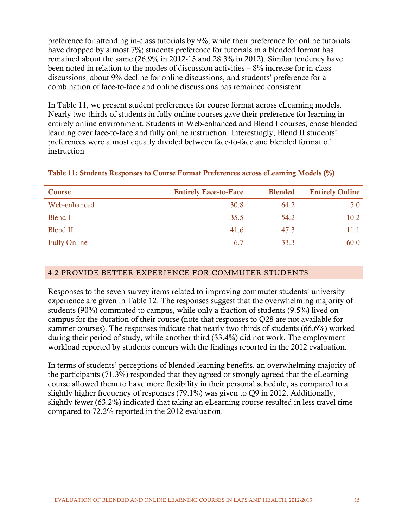preference for attending in-class tutorials by 9%, while their preference for online tutorials have dropped by almost 7%; students preference for tutorials in a blended format has remained about the same (26.9% in 2012-13 and 28.3% in 2012). Similar tendency have been noted in relation to the modes of discussion activities – 8% increase for in-class discussions, about 9% decline for online discussions, and students' preference for a combination of face-to-face and online discussions has remained consistent.

In Table 11, we present student preferences for course format across eLearning models. Nearly two-thirds of students in fully online courses gave their preference for learning in entirely online environment. Students in Web-enhanced and Blend I courses, chose blended learning over face-to-face and fully online instruction. Interestingly, Blend II students' preferences were almost equally divided between face-to-face and blended format of instruction

| Course              | <b>Entirely Face-to-Face</b> | <b>Blended</b> | <b>Entirely Online</b> |
|---------------------|------------------------------|----------------|------------------------|
| Web-enhanced        | 30.8                         | 64.2           | 5.0                    |
| Blend I             | 35.5                         | 54.2           | 10.2                   |
| <b>Blend II</b>     | 41.6                         | 47.3           | 11.1                   |
| <b>Fully Online</b> | 6.7                          | 33.3           | 60.0                   |

# <span id="page-20-1"></span>Table 11: Students Responses to Course Format Preferences across eLearning Models (%)

# <span id="page-20-0"></span>4.2 PROVIDE BETTER EXPERIENCE FOR COMMUTER STUDENTS

Responses to the seven survey items related to improving commuter students' university experience are given in Table 12. The responses suggest that the overwhelming majority of students (90%) commuted to campus, while only a fraction of students (9.5%) lived on campus for the duration of their course (note that responses to Q28 are not available for summer courses). The responses indicate that nearly two thirds of students (66.6%) worked during their period of study, while another third (33.4%) did not work. The employment workload reported by students concurs with the findings reported in the 2012 evaluation.

In terms of students' perceptions of blended learning benefits, an overwhelming majority of the participants (71.3%) responded that they agreed or strongly agreed that the eLearning course allowed them to have more flexibility in their personal schedule, as compared to a slightly higher frequency of responses (79.1%) was given to Q9 in 2012. Additionally, slightly fewer (63.2%) indicated that taking an eLearning course resulted in less travel time compared to 72.2% reported in the 2012 evaluation.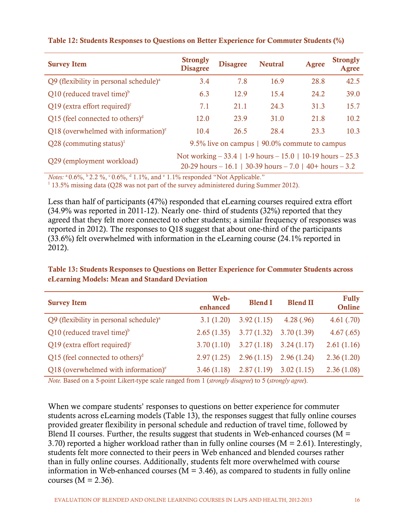| <b>Survey Item</b>                                   | <b>Strongly</b><br><b>Disagree</b>                                                                                        | <b>Disagree</b> | <b>Neutral</b> | <b>Agree</b> | <b>Strongly</b><br>Agree |  |  |
|------------------------------------------------------|---------------------------------------------------------------------------------------------------------------------------|-----------------|----------------|--------------|--------------------------|--|--|
| $Q9$ (flexibility in personal schedule) <sup>a</sup> | 3.4                                                                                                                       | 7.8             | 16.9           | 28.8         | 42.5                     |  |  |
| $Q10$ (reduced travel time) <sup>b</sup>             | 6.3                                                                                                                       | 12.9            | 15.4           | 24.2         | 39.0                     |  |  |
| Q19 (extra effort required) $\text{°}$               | 7.1                                                                                                                       | 21.1            | 24.3           | 31.3         | 15.7                     |  |  |
| Q15 (feel connected to others) $d$                   | 12.0                                                                                                                      | 23.9            | 31.0           | 21.8         | 10.2                     |  |  |
| Q18 (overwhelmed with information) $e$               | 10.4                                                                                                                      | 26.5            | 28.4           | 23.3         | 10.3                     |  |  |
| $Q28$ (commuting status) <sup>1</sup>                | 9.5% live on campus   90.0% commute to campus                                                                             |                 |                |              |                          |  |  |
| Q29 (employment workload)                            | Not working $-33.4$   1-9 hours $-15.0$   10-19 hours $-25.3$<br>20-29 hours – 16.1   30-39 hours – 7.0   40+ hours – 3.2 |                 |                |              |                          |  |  |

#### <span id="page-21-0"></span>Table 12: Students Responses to Questions on Better Experience for Commuter Students (%)

*Notes:*  $^{\circ}$  0.6%,  $^{\circ}$  2.2 %,  $^{\circ}$  0.6%,  $^{\circ}$  1.1%, and  $^{\circ}$  1.1% responded "Not Applicable."<br><sup>1</sup> 13.5% missing data (Q28 was not part of the survey administered during Summer 2012).

Less than half of participants (47%) responded that eLearning courses required extra effort (34.9% was reported in 2011-12). Nearly one- third of students (32%) reported that they agreed that they felt more connected to other students; a similar frequency of responses was reported in 2012). The responses to Q18 suggest that about one-third of the participants (33.6%) felt overwhelmed with information in the eLearning course (24.1% reported in 2012).

# <span id="page-21-1"></span>Table 13: Students Responses to Questions on Better Experience for Commuter Students across eLearning Models: Mean and Standard Deviation

| <b>Survey Item</b>                                   | Web-<br>enhanced | <b>Blend I</b>                         | <b>Blend II</b> | <b>Fully</b><br>Online |
|------------------------------------------------------|------------------|----------------------------------------|-----------------|------------------------|
| $Q9$ (flexibility in personal schedule) <sup>a</sup> | 3.1(1.20)        | 3.92(1.15)                             | 4.28(.96)       | 4.61(.70)              |
| $Q10$ (reduced travel time) <sup>b</sup>             | 2.65(1.35)       | $3.77(1.32)$ $3.70(1.39)$              |                 | 4.67(.65)              |
| Q19 (extra effort required) $\rm^{\circ}$            | 3.70(1.10)       | $3.27(1.18)$ $3.24(1.17)$              |                 | 2.61(1.16)             |
| Q15 (feel connected to others) $d$                   | 2.97(1.25)       | $2.96(1.15)$ $2.96(1.24)$              |                 | 2.36(1.20)             |
| Q18 (overwhelmed with information) $\epsilon$        |                  | $3.46(1.18)$ $2.87(1.19)$ $3.02(1.15)$ |                 | 2.36(1.08)             |

*Note.* Based on a 5-point Likert-type scale ranged from 1 (*strongly disagree*) to 5 (*strongly agree*).

When we compare students' responses to questions on better experience for commuter students across eLearning models (Table 13), the responses suggest that fully online courses provided greater flexibility in personal schedule and reduction of travel time, followed by Blend II courses. Further, the results suggest that students in Web-enhanced courses ( $M =$ 3.70) reported a higher workload rather than in fully online courses ( $M = 2.61$ ). Interestingly, students felt more connected to their peers in Web enhanced and blended courses rather than in fully online courses. Additionally, students felt more overwhelmed with course information in Web-enhanced courses ( $M = 3.46$ ), as compared to students in fully online courses  $(M = 2.36)$ .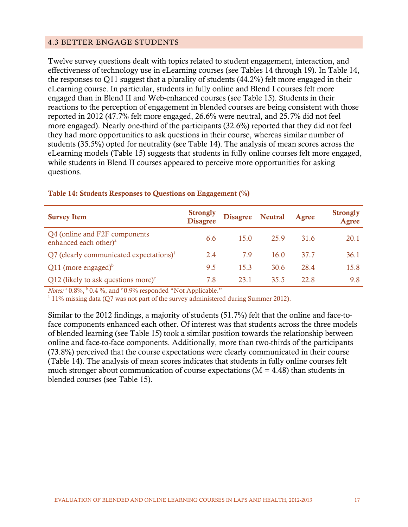# <span id="page-22-0"></span>4.3 BETTER ENGAGE STUDENTS

Twelve survey questions dealt with topics related to student engagement, interaction, and effectiveness of technology use in eLearning courses (see Tables 14 through 19). In Table 14, the responses to Q11 suggest that a plurality of students (44.2%) felt more engaged in their eLearning course. In particular, students in fully online and Blend I courses felt more engaged than in Blend II and Web-enhanced courses (see Table 15). Students in their reactions to the perception of engagement in blended courses are being consistent with those reported in 2012 (47.7% felt more engaged, 26.6% were neutral, and 25.7% did not feel more engaged). Nearly one-third of the participants (32.6%) reported that they did not feel they had more opportunities to ask questions in their course, whereas similar number of students (35.5%) opted for neutrality (see Table 14). The analysis of mean scores across the eLearning models (Table 15) suggests that students in fully online courses felt more engaged, while students in Blend II courses appeared to perceive more opportunities for asking questions.

| <b>Survey Item</b>                                                 | <b>Strongly</b><br><b>Disagree</b> | Disagree Neutral |      | Agree | <b>Strongly</b><br>Agree |
|--------------------------------------------------------------------|------------------------------------|------------------|------|-------|--------------------------|
| Q4 (online and F2F components<br>enhanced each other) <sup>a</sup> | 6.6                                | 15.0             | 25.9 | 31.6  | 20.1                     |
| $Q7$ (clearly communicated expectations) <sup>1</sup>              | 2.4                                | 79               | 16.0 | 37.7  | 36.1                     |
| Q11 (more engaged) $\delta$                                        | 9.5                                | 15.3             | 30.6 | 28.4  | 15.8                     |
| Q12 (likely to ask questions more) $\text{c}$                      | 7.8                                | 23.1             | 35.5 | 22.8  | 9.8                      |

#### <span id="page-22-1"></span>Table 14: Students Responses to Questions on Engagement (%)

*Notes:* <sup>a</sup> 0.8%, <sup>b</sup> 0.4 %, and <sup>c</sup> 0.9% responded "Not Applicable."<br><sup>1</sup> 11% missing data (Q7 was not part of the survey administered during Summer 2012).

Similar to the 2012 findings, a majority of students (51.7%) felt that the online and face-toface components enhanced each other. Of interest was that students across the three models of blended learning (see Table 15) took a similar position towards the relationship between online and face-to-face components. Additionally, more than two-thirds of the participants (73.8%) perceived that the course expectations were clearly communicated in their course (Table 14). The analysis of mean scores indicates that students in fully online courses felt much stronger about communication of course expectations ( $M = 4.48$ ) than students in blended courses (see Table 15).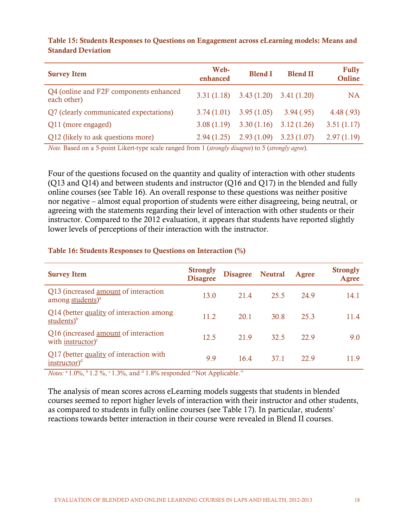| <b>Survey Item</b>                                    | Web-<br>enhanced | <b>Blend I</b> | <b>Blend II</b> | <b>Fully</b><br>Online |
|-------------------------------------------------------|------------------|----------------|-----------------|------------------------|
| Q4 (online and F2F components enhanced<br>each other) | 3.31(1.18)       | 3.43(1.20)     | 3.41(1.20)      | <b>NA</b>              |
| Q7 (clearly communicated expectations)                | 3.74(1.01)       | 3.95(1.05)     | 3.94(.95)       | 4.48(.93)              |
| Q11 (more engaged)                                    | 3.08(1.19)       | 3.30(1.16)     | 3.12(1.26)      | 3.51(1.17)             |
| Q12 (likely to ask questions more)                    | 2.94(1.25)       | 2.93(1.09)     | 3.23(1.07)      | 2.97(1.19)             |

<span id="page-23-0"></span>Table 15: Students Responses to Questions on Engagement across eLearning models: Means and Standard Deviation

*Note.* Based on a 5-point Likert-type scale ranged from 1 (*strongly disagree*) to 5 (*strongly agree*).

Four of the questions focused on the quantity and quality of interaction with other students (Q13 and Q14) and between students and instructor (Q16 and Q17) in the blended and fully online courses (see Table 16). An overall response to these questions was neither positive nor negative – almost equal proportion of students were either disagreeing, being neutral, or agreeing with the statements regarding their level of interaction with other students or their instructor. Compared to the 2012 evaluation, it appears that students have reported slightly lower levels of perceptions of their interaction with the instructor.

#### <span id="page-23-1"></span>Table 16: Students Responses to Questions on Interaction (%)

| <b>Survey Item</b>                                                           | <b>Strongly</b><br><b>Disagree</b> | Disagree Neutral |      | Agree | <b>Strongly</b><br>Agree |
|------------------------------------------------------------------------------|------------------------------------|------------------|------|-------|--------------------------|
| Q13 (increased <u>amount</u> of interaction<br>among students) <sup>a</sup>  | 13.0                               | 21.4             | 25.5 | 24.9  | 14.1                     |
| Q14 (better quality of interaction among<br>students $)^{b}$                 | 11.2                               | 20.1             | 30.8 | 25.3  | 11.4                     |
| Q16 (increased <u>amount</u> of interaction<br>with instructor) $\mathrm{c}$ | 12.5                               | 21.9             | 32.5 | 22.9  | 9.0                      |
| Q17 (better quality of interaction with<br>instructor $)^d$                  | 9.9                                | 16.4             | 37.1 | 22.9  | 119                      |

*Notes:* <sup>a</sup> 1.0%, <sup>b</sup> 1.2 %, <sup>c</sup> 1.3%, and <sup>d</sup> 1.8% responded "Not Applicable."

The analysis of mean scores across eLearning models suggests that students in blended courses seemed to report higher levels of interaction with their instructor and other students, as compared to students in fully online courses (see Table 17). In particular, students' reactions towards better interaction in their course were revealed in Blend II courses.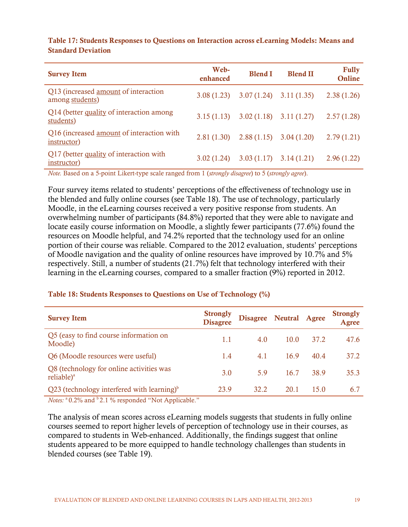| <b>Survey Item</b>                                             | Web-<br>enhanced | <b>Blend I</b>                         | <b>Blend II</b> | <b>Fully</b><br>Online |
|----------------------------------------------------------------|------------------|----------------------------------------|-----------------|------------------------|
| Q13 (increased <u>amount</u> of interaction<br>among students) |                  | $3.08(1.23)$ $3.07(1.24)$ $3.11(1.35)$ |                 | 2.38(1.26)             |
| Q14 (better quality of interaction among<br>students)          | 3.15(1.13)       | $3.02(1.18)$ $3.11(1.27)$              |                 | 2.57(1.28)             |
| Q16 (increased amount of interaction with<br>instructor)       |                  | $2.81(1.30)$ $2.88(1.15)$ $3.04(1.20)$ |                 | 2.79(1.21)             |
| Q17 (better quality of interaction with<br>instructor)         | 3.02(1.24)       | $3.03(1.17)$ $3.14(1.21)$              |                 | 2.96(1.22)             |

<span id="page-24-0"></span>Table 17: Students Responses to Questions on Interaction across eLearning Models: Means and Standard Deviation

*Note.* Based on a 5-point Likert-type scale ranged from 1 (*strongly disagree*) to 5 (*strongly agree*).

Four survey items related to students' perceptions of the effectiveness of technology use in the blended and fully online courses (see Table 18). The use of technology, particularly Moodle, in the eLearning courses received a very positive response from students. An overwhelming number of participants (84.8%) reported that they were able to navigate and locate easily course information on Moodle, a slightly fewer participants (77.6%) found the resources on Moodle helpful, and 74.2% reported that the technology used for an online portion of their course was reliable. Compared to the 2012 evaluation, students' perceptions of Moodle navigation and the quality of online resources have improved by 10.7% and 5% respectively. Still, a number of students (21.7%) felt that technology interfered with their learning in the eLearning courses, compared to a smaller fraction (9%) reported in 2012.

| <b>Survey Item</b>                                                 | <b>Strongly</b><br><b>Disagree</b> | Disagree Neutral Agree |      |      | <b>Strongly</b><br>Agree |
|--------------------------------------------------------------------|------------------------------------|------------------------|------|------|--------------------------|
| Q5 (easy to find course information on<br>Moodle)                  | 1.1                                | 4.0                    | 10.0 | 37.2 | 47.6                     |
| Q6 (Moodle resources were useful)                                  | 1.4                                | 4.1                    | 16.9 | 40.4 | 37.2                     |
| Q8 (technology for online activities was<br>reliable) <sup>a</sup> | 3.0                                | 59                     | 16.7 | 38.9 | 35.3                     |
| Q23 (technology interfered with learning) $\delta$                 | 23.9                               | 32.2                   | 20.1 | 15.0 | 6.7                      |

#### <span id="page-24-1"></span>Table 18: Students Responses to Questions on Use of Technology (%)

*Notes:* <sup>a</sup> 0.2% and <sup>b</sup> 2.1 % responded "Not Applicable."

The analysis of mean scores across eLearning models suggests that students in fully online courses seemed to report higher levels of perception of technology use in their courses, as compared to students in Web-enhanced. Additionally, the findings suggest that online students appeared to be more equipped to handle technology challenges than students in blended courses (see Table 19).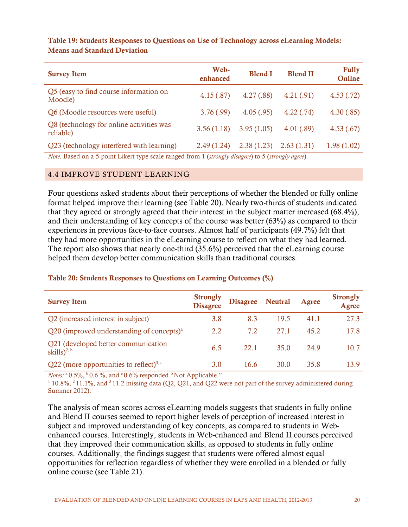| <b>Survey Item</b>                                    | Web-<br>enhanced | <b>Blend I</b> | <b>Blend II</b> | <b>Fully</b><br>Online |
|-------------------------------------------------------|------------------|----------------|-----------------|------------------------|
| Q5 (easy to find course information on<br>Moodle)     | 4.15(.87)        | 4.27(.88)      | 4.21(.91)       | 4.53(.72)              |
| Q6 (Moodle resources were useful)                     | 3.76(.99)        | 4.05(.95)      | 4.22(.74)       | 4.30(.85)              |
| Q8 (technology for online activities was<br>reliable) | 3.56(1.18)       | 3.95(1.05)     | 4.01(.89)       | 4.53(.67)              |
| Q23 (technology interfered with learning)             | 2.49(1.24)       | 2.38(1.23)     | 2.63(1.31)      | 1.98(1.02)             |

# <span id="page-25-1"></span>Table 19: Students Responses to Questions on Use of Technology across eLearning Models: Means and Standard Deviation

*Note.* Based on a 5-point Likert-type scale ranged from 1 (*strongly disagree*) to 5 (*strongly agree*).

#### <span id="page-25-0"></span>4.4 IMPROVE STUDENT LEARNING

Four questions asked students about their perceptions of whether the blended or fully online format helped improve their learning (see Table 20). Nearly two-thirds of students indicated that they agreed or strongly agreed that their interest in the subject matter increased (68.4%), and their understanding of key concepts of the course was better (63%) as compared to their experiences in previous face-to-face courses. Almost half of participants (49.7%) felt that they had more opportunities in the eLearning course to reflect on what they had learned. The report also shows that nearly one-third (35.6%) perceived that the eLearning course helped them develop better communication skills than traditional courses.

# <span id="page-25-2"></span>Table 20: Students Responses to Questions on Learning Outcomes (%)

| <b>Survey Item</b>                                             | <b>Strongly</b><br><b>Disagree</b> | Disagree Neutral |      | Agree | <b>Strongly</b><br>Agree |
|----------------------------------------------------------------|------------------------------------|------------------|------|-------|--------------------------|
| Q2 (increased interest in subject) <sup>1</sup>                | 3.8                                | 8.3              | 19.5 | 41.1  | 27.3                     |
| Q20 (improved understanding of concepts) $^{\circ}$            | 2.2                                | 7.2              | 27.1 | 45.2  | 17.8                     |
| Q21 (developed better communication<br>skills) <sup>2, b</sup> | 6.5                                | 22.1             | 35.0 | 24.9  | 10.7                     |
| Q22 (more opportunities to reflect) <sup>3, c</sup>            | 3.0                                | 16.6             | 30.0 | 35.8  | 13.9                     |

*Notes:*  $^{\circ}$  0.5%,  $^{\circ}$  0.6 %, and  $^{\circ}$  0.6% responded "Not Applicable."<br><sup>1</sup> 10.8%, <sup>2</sup> 11.1%, and <sup>3</sup> 11.2 missing data (Q2, Q21, and Q22 were not part of the survey administered during Summer 2012).

The analysis of mean scores across eLearning models suggests that students in fully online and Blend II courses seemed to report higher levels of perception of increased interest in subject and improved understanding of key concepts, as compared to students in Webenhanced courses. Interestingly, students in Web-enhanced and Blend II courses perceived that they improved their communication skills, as opposed to students in fully online courses. Additionally, the findings suggest that students were offered almost equal opportunities for reflection regardless of whether they were enrolled in a blended or fully online course (see Table 21).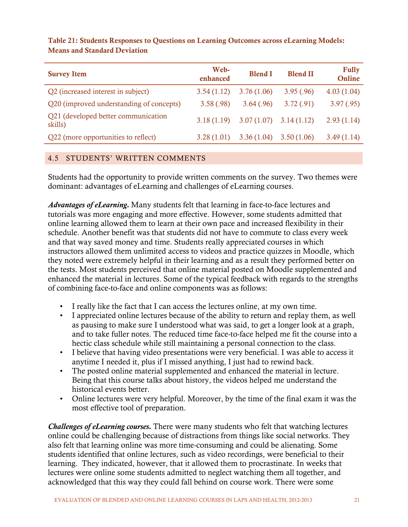| <b>Survey Item</b>                             | Web-<br>enhanced | <b>Blend I</b> | <b>Blend II</b> | <b>Fully</b><br>Online |
|------------------------------------------------|------------------|----------------|-----------------|------------------------|
| Q2 (increased interest in subject)             | 3.54(1.12)       | 3.76(1.06)     | 3.95(.96)       | 4.03(1.04)             |
| Q20 (improved understanding of concepts)       | 3.58(.98)        | 3.64(.96)      | 3.72(.91)       | 3.97(.95)              |
| Q21 (developed better communication<br>skills) | 3.18(1.19)       | 3.07(1.07)     | 3.14(1.12)      | 2.93(1.14)             |
| Q22 (more opportunities to reflect)            | 3.28(1.01)       | 3.36(1.04)     | 3.50(1.06)      | 3.49(1.14)             |

# <span id="page-26-1"></span>Table 21: Students Responses to Questions on Learning Outcomes across eLearning Models: Means and Standard Deviation

# <span id="page-26-0"></span>4.5 STUDENTS' WRITTEN COMMENTS

Students had the opportunity to provide written comments on the survey. Two themes were dominant: advantages of eLearning and challenges of eLearning courses.

*Advantages of eLearning.* Many students felt that learning in face-to-face lectures and tutorials was more engaging and more effective. However, some students admitted that online learning allowed them to learn at their own pace and increased flexibility in their schedule. Another benefit was that students did not have to commute to class every week and that way saved money and time. Students really appreciated courses in which instructors allowed them unlimited access to videos and practice quizzes in Moodle, which they noted were extremely helpful in their learning and as a result they performed better on the tests. Most students perceived that online material posted on Moodle supplemented and enhanced the material in lectures. Some of the typical feedback with regards to the strengths of combining face-to-face and online components was as follows:

- I really like the fact that I can access the lectures online, at my own time.
- I appreciated online lectures because of the ability to return and replay them, as well as pausing to make sure I understood what was said, to get a longer look at a graph, and to take fuller notes. The reduced time face-to-face helped me fit the course into a hectic class schedule while still maintaining a personal connection to the class.
- I believe that having video presentations were very beneficial. I was able to access it anytime I needed it, plus if I missed anything, I just had to rewind back.
- The posted online material supplemented and enhanced the material in lecture. Being that this course talks about history, the videos helped me understand the historical events better.
- Online lectures were very helpful. Moreover, by the time of the final exam it was the most effective tool of preparation.

*Challenges of eLearning courses.* There were many students who felt that watching lectures online could be challenging because of distractions from things like social networks. They also felt that learning online was more time-consuming and could be alienating. Some students identified that online lectures, such as video recordings, were beneficial to their learning. They indicated, however, that it allowed them to procrastinate. In weeks that lectures were online some students admitted to neglect watching them all together, and acknowledged that this way they could fall behind on course work. There were some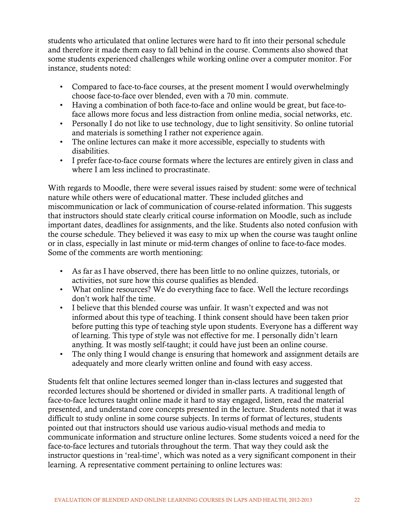students who articulated that online lectures were hard to fit into their personal schedule and therefore it made them easy to fall behind in the course. Comments also showed that some students experienced challenges while working online over a computer monitor. For instance, students noted:

- Compared to face-to-face courses, at the present moment I would overwhelmingly choose face-to-face over blended, even with a 70 min. commute.
- Having a combination of both face-to-face and online would be great, but face-toface allows more focus and less distraction from online media, social networks, etc.
- Personally I do not like to use technology, due to light sensitivity. So online tutorial and materials is something I rather not experience again.
- The online lectures can make it more accessible, especially to students with disabilities.
- I prefer face-to-face course formats where the lectures are entirely given in class and where I am less inclined to procrastinate.

With regards to Moodle, there were several issues raised by student: some were of technical nature while others were of educational matter. These included glitches and miscommunication or lack of communication of course-related information. This suggests that instructors should state clearly critical course information on Moodle, such as include important dates, deadlines for assignments, and the like. Students also noted confusion with the course schedule. They believed it was easy to mix up when the course was taught online or in class, especially in last minute or mid-term changes of online to face-to-face modes. Some of the comments are worth mentioning:

- As far as I have observed, there has been little to no online quizzes, tutorials, or activities, not sure how this course qualifies as blended.
- What online resources? We do everything face to face. Well the lecture recordings don't work half the time.
- I believe that this blended course was unfair. It wasn't expected and was not informed about this type of teaching. I think consent should have been taken prior before putting this type of teaching style upon students. Everyone has a different way of learning. This type of style was not effective for me. I personally didn't learn anything. It was mostly self-taught; it could have just been an online course.
- The only thing I would change is ensuring that homework and assignment details are adequately and more clearly written online and found with easy access.

Students felt that online lectures seemed longer than in-class lectures and suggested that recorded lectures should be shortened or divided in smaller parts. A traditional length of face-to-face lectures taught online made it hard to stay engaged, listen, read the material presented, and understand core concepts presented in the lecture. Students noted that it was difficult to study online in some course subjects. In terms of format of lectures, students pointed out that instructors should use various audio-visual methods and media to communicate information and structure online lectures. Some students voiced a need for the face-to-face lectures and tutorials throughout the term. That way they could ask the instructor questions in 'real-time', which was noted as a very significant component in their learning. A representative comment pertaining to online lectures was: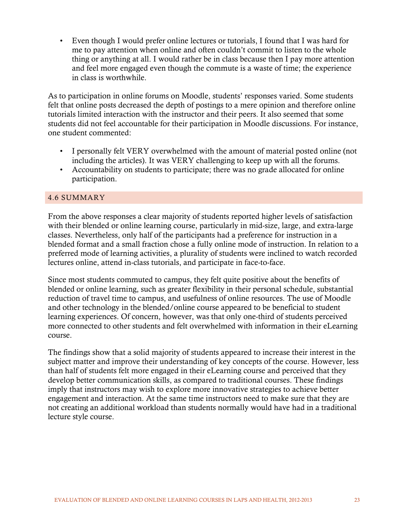• Even though I would prefer online lectures or tutorials, I found that I was hard for me to pay attention when online and often couldn't commit to listen to the whole thing or anything at all. I would rather be in class because then I pay more attention and feel more engaged even though the commute is a waste of time; the experience in class is worthwhile.

As to participation in online forums on Moodle, students' responses varied. Some students felt that online posts decreased the depth of postings to a mere opinion and therefore online tutorials limited interaction with the instructor and their peers. It also seemed that some students did not feel accountable for their participation in Moodle discussions. For instance, one student commented:

- I personally felt VERY overwhelmed with the amount of material posted online (not including the articles). It was VERY challenging to keep up with all the forums.
- Accountability on students to participate; there was no grade allocated for online participation.

# <span id="page-28-0"></span>4.6 SUMMARY

From the above responses a clear majority of students reported higher levels of satisfaction with their blended or online learning course, particularly in mid-size, large, and extra-large classes. Nevertheless, only half of the participants had a preference for instruction in a blended format and a small fraction chose a fully online mode of instruction. In relation to a preferred mode of learning activities, a plurality of students were inclined to watch recorded lectures online, attend in-class tutorials, and participate in face-to-face.

Since most students commuted to campus, they felt quite positive about the benefits of blended or online learning, such as greater flexibility in their personal schedule, substantial reduction of travel time to campus, and usefulness of online resources. The use of Moodle and other technology in the blended/online course appeared to be beneficial to student learning experiences. Of concern, however, was that only one-third of students perceived more connected to other students and felt overwhelmed with information in their eLearning course.

The findings show that a solid majority of students appeared to increase their interest in the subject matter and improve their understanding of key concepts of the course. However, less than half of students felt more engaged in their eLearning course and perceived that they develop better communication skills, as compared to traditional courses. These findings imply that instructors may wish to explore more innovative strategies to achieve better engagement and interaction. At the same time instructors need to make sure that they are not creating an additional workload than students normally would have had in a traditional lecture style course.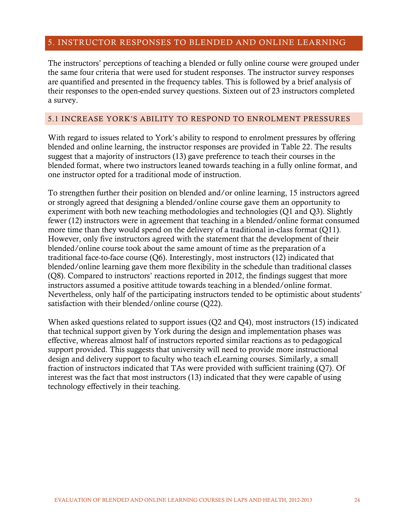# <span id="page-29-0"></span>5. INSTRUCTOR RESPONSES TO BLENDED AND ONLINE LEARNING

The instructors' perceptions of teaching a blended or fully online course were grouped under the same four criteria that were used for student responses. The instructor survey responses are quantified and presented in the frequency tables. This is followed by a brief analysis of their responses to the open-ended survey questions. Sixteen out of 23 instructors completed a survey.

#### <span id="page-29-1"></span>5.1 INCREASE YORK'S ABILITY TO RESPOND TO ENROLMENT PRESSURES

With regard to issues related to York's ability to respond to enrolment pressures by offering blended and online learning, the instructor responses are provided in Table 22. The results suggest that a majority of instructors (13) gave preference to teach their courses in the blended format, where two instructors leaned towards teaching in a fully online format, and one instructor opted for a traditional mode of instruction.

To strengthen further their position on blended and/or online learning, 15 instructors agreed or strongly agreed that designing a blended/online course gave them an opportunity to experiment with both new teaching methodologies and technologies (Q1 and Q3). Slightly fewer (12) instructors were in agreement that teaching in a blended/online format consumed more time than they would spend on the delivery of a traditional in-class format (Q11). However, only five instructors agreed with the statement that the development of their blended/online course took about the same amount of time as the preparation of a traditional face-to-face course (Q6). Interestingly, most instructors (12) indicated that blended/online learning gave them more flexibility in the schedule than traditional classes (Q8). Compared to instructors' reactions reported in 2012, the findings suggest that more instructors assumed a positive attitude towards teaching in a blended/online format. Nevertheless, only half of the participating instructors tended to be optimistic about students' satisfaction with their blended/online course (Q22).

When asked questions related to support issues (Q2 and Q4), most instructors (15) indicated that technical support given by York during the design and implementation phases was effective, whereas almost half of instructors reported similar reactions as to pedagogical support provided. This suggests that university will need to provide more instructional design and delivery support to faculty who teach eLearning courses. Similarly, a small fraction of instructors indicated that TAs were provided with sufficient training (Q7). Of interest was the fact that most instructors (13) indicated that they were capable of using technology effectively in their teaching.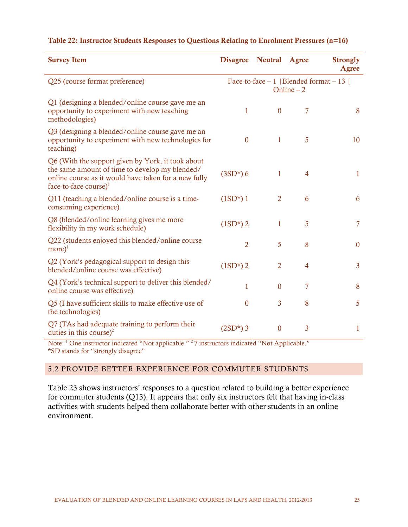| <b>Survey Item</b>                                                                                                                                                                       | <b>Disagree</b> | <b>Neutral</b>   | Agree          | <b>Strongly</b><br><b>Agree</b>          |
|------------------------------------------------------------------------------------------------------------------------------------------------------------------------------------------|-----------------|------------------|----------------|------------------------------------------|
| Q25 (course format preference)                                                                                                                                                           |                 |                  | Online $-2$    | Face-to-face $-1$   Blended format $-13$ |
| Q1 (designing a blended/online course gave me an<br>opportunity to experiment with new teaching<br>methodologies)                                                                        | 1               | $\boldsymbol{0}$ | 7              | 8                                        |
| Q3 (designing a blended/online course gave me an<br>opportunity to experiment with new technologies for<br>teaching)                                                                     | $\overline{0}$  | 1                | 5              | 10                                       |
| Q6 (With the support given by York, it took about<br>the same amount of time to develop my blended/<br>online course as it would have taken for a new fully<br>face-to-face course) $^1$ | $(3SD*)$ 6      | 1                | $\overline{4}$ | $\mathbf{1}$                             |
| Q11 (teaching a blended/online course is a time-<br>consuming experience)                                                                                                                | $(1SD^*)$ 1     | $\overline{2}$   | 6              | 6                                        |
| Q8 (blended/online learning gives me more<br>flexibility in my work schedule)                                                                                                            | $(1SD*) 2$      | 1                | 5              | $\overline{7}$                           |
| Q22 (students enjoyed this blended/online course<br>$more)^{1}$                                                                                                                          | $\overline{2}$  | 5                | 8              | $\boldsymbol{0}$                         |
| Q2 (York's pedagogical support to design this<br>blended/online course was effective)                                                                                                    | $(1SD*) 2$      | $\overline{2}$   | $\overline{4}$ | 3                                        |
| Q4 (York's technical support to deliver this blended/<br>online course was effective)                                                                                                    | $\mathbf{1}$    | $\overline{0}$   | $\overline{7}$ | 8                                        |
| Q5 (I have sufficient skills to make effective use of<br>the technologies)                                                                                                               | $\overline{0}$  | 3                | 8              | 5                                        |
| Q7 (TAs had adequate training to perform their<br>duties in this course) <sup>2</sup>                                                                                                    | $(2SD^*)$ 3     | $\boldsymbol{0}$ | 3              | $\mathbf{1}$                             |

#### <span id="page-30-1"></span>Table 22: Instructor Students Responses to Questions Relating to Enrolment Pressures (n=16)

Note: <sup>1</sup> One instructor indicated "Not applicable." <sup>2</sup>7 instructors indicated "Not Applicable." \*SD stands for "strongly disagree"

#### <span id="page-30-0"></span>5.2 PROVIDE BETTER EXPERIENCE FOR COMMUTER STUDENTS

Table 23 shows instructors' responses to a question related to building a better experience for commuter students (Q13). It appears that only six instructors felt that having in-class activities with students helped them collaborate better with other students in an online environment.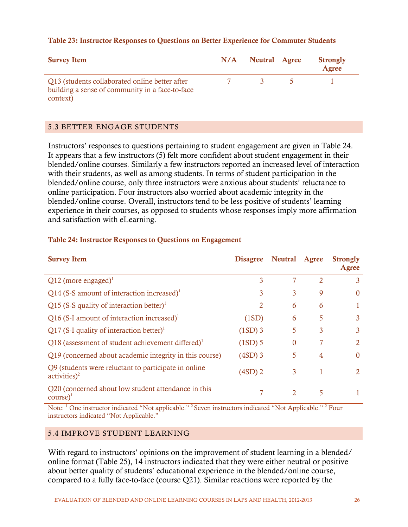#### <span id="page-31-2"></span>Table 23: Instructor Responses to Questions on Better Experience for Commuter Students

| <b>Survey Item</b>                                                                                            | N/A Neutral Agree | <b>Strongly</b><br>Agree |
|---------------------------------------------------------------------------------------------------------------|-------------------|--------------------------|
| Q13 (students collaborated online better after<br>building a sense of community in a face-to-face<br>context) |                   |                          |

#### <span id="page-31-0"></span>5.3 BETTER ENGAGE STUDENTS

Instructors' responses to questions pertaining to student engagement are given in Table 24. It appears that a few instructors (5) felt more confident about student engagement in their blended/online courses. Similarly a few instructors reported an increased level of interaction with their students, as well as among students. In terms of student participation in the blended/online course, only three instructors were anxious about students' reluctance to online participation. Four instructors also worried about academic integrity in the blended/online course. Overall, instructors tend to be less positive of students' learning experience in their courses, as opposed to students whose responses imply more affirmation and satisfaction with eLearning.

| <b>Survey Item</b>                                                                              | <b>Disagree</b> | <b>Neutral</b> | Agree          | <b>Strongly</b><br>Agree |
|-------------------------------------------------------------------------------------------------|-----------------|----------------|----------------|--------------------------|
| $Q12$ (more engaged) <sup>1</sup>                                                               | 3               |                | $\mathfrak{D}$ | 3                        |
| Q14 (S-S amount of interaction increased) <sup>1</sup>                                          | 3               | 3              | 9              | $\Omega$                 |
| Q15 (S-S quality of interaction better) <sup>1</sup>                                            | 2               | 6              | 6              |                          |
| Q16 (S-I amount of interaction increased) <sup>1</sup>                                          | (1SD)           | 6              | 5              | 3                        |
| Q17 (S-I quality of interaction better) <sup>1</sup>                                            | $(1SD)$ 3       | 5              | 3              | 3                        |
| Q18 (assessment of student achievement differed) <sup>1</sup>                                   | $(1SD)$ 5       | $\Omega$       |                | 2                        |
| Q19 (concerned about academic integrity in this course)                                         | $(4SD)$ 3       | 5              | 4              | $\Omega$                 |
| Q9 (students were reluctant to participate in online)<br>$\text{activities}\textsuperscript{2}$ | $(4SD)$ 2       | 3              | 1              | 2                        |
| Q20 (concerned about low student attendance in this<br>$course)^{1}$                            | 7               | $\mathfrak{D}$ | 5              |                          |

#### <span id="page-31-3"></span>Table 24: Instructor Responses to Questions on Engagement

Note: <sup>1</sup> One instructor indicated "Not applicable." <sup>2</sup> Seven instructors indicated "Not Applicable." <sup>2</sup> Four instructors indicated "Not Applicable."

# <span id="page-31-1"></span>5.4 IMPROVE STUDENT LEARNING

With regard to instructors' opinions on the improvement of student learning in a blended/ online format (Table 25), 14 instructors indicated that they were either neutral or positive about better quality of students' educational experience in the blended/online course, compared to a fully face-to-face (course Q21). Similar reactions were reported by the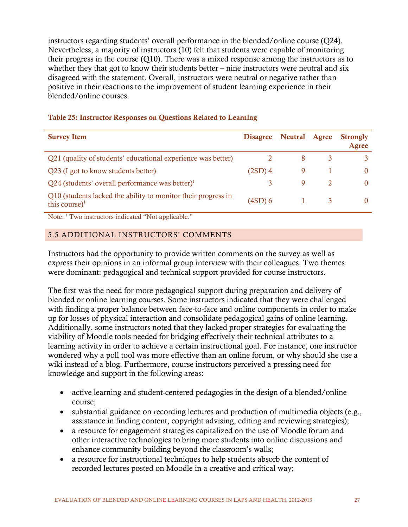instructors regarding students' overall performance in the blended/online course (Q24). Nevertheless, a majority of instructors (10) felt that students were capable of monitoring their progress in the course (Q10). There was a mixed response among the instructors as to whether they that got to know their students better – nine instructors were neutral and six disagreed with the statement. Overall, instructors were neutral or negative rather than positive in their reactions to the improvement of student learning experience in their blended/online courses.

| <b>Survey Item</b>                                                                 | <b>Disagree</b> | Neutral Agree | <b>Strongly</b><br>Agree |
|------------------------------------------------------------------------------------|-----------------|---------------|--------------------------|
| Q21 (quality of students' educational experience was better)                       |                 | 8             |                          |
| Q23 (I got to know students better)                                                | $(2SD)$ 4       | 9             |                          |
| Q24 (students' overall performance was better) $\mathrm{^{1}}$                     | 3               | 9             |                          |
| Q10 (students lacked the ability to monitor their progress in<br>this course) $^1$ | $(4SD)$ 6       |               |                          |

# <span id="page-32-1"></span>Table 25: Instructor Responses on Questions Related to Learning

Note: 1 Two instructors indicated "Not applicable."

# <span id="page-32-0"></span>5.5 ADDITIONAL INSTRUCTORS' COMMENTS

Instructors had the opportunity to provide written comments on the survey as well as express their opinions in an informal group interview with their colleagues. Two themes were dominant: pedagogical and technical support provided for course instructors.

The first was the need for more pedagogical support during preparation and delivery of blended or online learning courses. Some instructors indicated that they were challenged with finding a proper balance between face-to-face and online components in order to make up for losses of physical interaction and consolidate pedagogical gains of online learning. Additionally, some instructors noted that they lacked proper strategies for evaluating the viability of Moodle tools needed for bridging effectively their technical attributes to a learning activity in order to achieve a certain instructional goal. For instance, one instructor wondered why a poll tool was more effective than an online forum, or why should she use a wiki instead of a blog. Furthermore, course instructors perceived a pressing need for knowledge and support in the following areas:

- active learning and student-centered pedagogies in the design of a blended/online course;
- substantial guidance on recording lectures and production of multimedia objects (e.g., assistance in finding content, copyright advising, editing and reviewing strategies);
- a resource for engagement strategies capitalized on the use of Moodle forum and other interactive technologies to bring more students into online discussions and enhance community building beyond the classroom's walls;
- a resource for instructional techniques to help students absorb the content of recorded lectures posted on Moodle in a creative and critical way;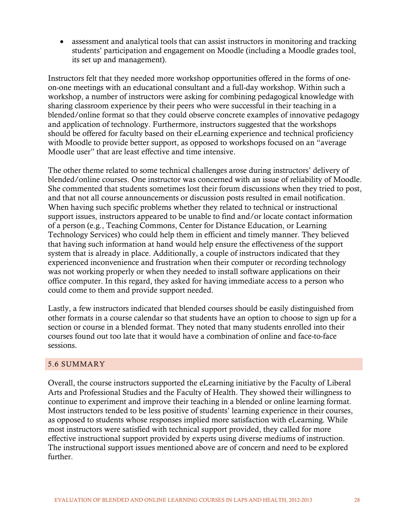• assessment and analytical tools that can assist instructors in monitoring and tracking students' participation and engagement on Moodle (including a Moodle grades tool, its set up and management).

Instructors felt that they needed more workshop opportunities offered in the forms of oneon-one meetings with an educational consultant and a full-day workshop. Within such a workshop, a number of instructors were asking for combining pedagogical knowledge with sharing classroom experience by their peers who were successful in their teaching in a blended/online format so that they could observe concrete examples of innovative pedagogy and application of technology. Furthermore, instructors suggested that the workshops should be offered for faculty based on their eLearning experience and technical proficiency with Moodle to provide better support, as opposed to workshops focused on an "average Moodle user" that are least effective and time intensive.

The other theme related to some technical challenges arose during instructors' delivery of blended/online courses. One instructor was concerned with an issue of reliability of Moodle. She commented that students sometimes lost their forum discussions when they tried to post, and that not all course announcements or discussion posts resulted in email notification. When having such specific problems whether they related to technical or instructional support issues, instructors appeared to be unable to find and/or locate contact information of a person (e.g., Teaching Commons, Center for Distance Education, or Learning Technology Services) who could help them in efficient and timely manner. They believed that having such information at hand would help ensure the effectiveness of the support system that is already in place. Additionally, a couple of instructors indicated that they experienced inconvenience and frustration when their computer or recording technology was not working properly or when they needed to install software applications on their office computer. In this regard, they asked for having immediate access to a person who could come to them and provide support needed.

Lastly, a few instructors indicated that blended courses should be easily distinguished from other formats in a course calendar so that students have an option to choose to sign up for a section or course in a blended format. They noted that many students enrolled into their courses found out too late that it would have a combination of online and face-to-face sessions.

# <span id="page-33-0"></span>5.6 SUMMARY

<span id="page-33-1"></span>Overall, the course instructors supported the eLearning initiative by the Faculty of Liberal Arts and Professional Studies and the Faculty of Health. They showed their willingness to continue to experiment and improve their teaching in a blended or online learning format. Most instructors tended to be less positive of students' learning experience in their courses, as opposed to students whose responses implied more satisfaction with eLearning. While most instructors were satisfied with technical support provided, they called for more effective instructional support provided by experts using diverse mediums of instruction. The instructional support issues mentioned above are of concern and need to be explored further.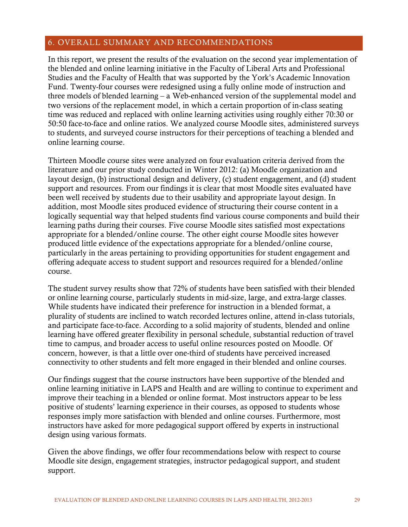# 6. OVERALL SUMMARY AND RECOMMENDATIONS

In this report, we present the results of the evaluation on the second year implementation of the blended and online learning initiative in the Faculty of Liberal Arts and Professional Studies and the Faculty of Health that was supported by the York's Academic Innovation Fund. Twenty-four courses were redesigned using a fully online mode of instruction and three models of blended learning – a Web-enhanced version of the supplemental model and two versions of the replacement model, in which a certain proportion of in-class seating time was reduced and replaced with online learning activities using roughly either 70:30 or 50:50 face-to-face and online ratios. We analyzed course Moodle sites, administered surveys to students, and surveyed course instructors for their perceptions of teaching a blended and online learning course.

Thirteen Moodle course sites were analyzed on four evaluation criteria derived from the literature and our prior study conducted in Winter 2012: (a) Moodle organization and layout design, (b) instructional design and delivery, (c) student engagement, and (d) student support and resources. From our findings it is clear that most Moodle sites evaluated have been well received by students due to their usability and appropriate layout design. In addition, most Moodle sites produced evidence of structuring their course content in a logically sequential way that helped students find various course components and build their learning paths during their courses. Five course Moodle sites satisfied most expectations appropriate for a blended/online course. The other eight course Moodle sites however produced little evidence of the expectations appropriate for a blended/online course, particularly in the areas pertaining to providing opportunities for student engagement and offering adequate access to student support and resources required for a blended/online course.

The student survey results show that 72% of students have been satisfied with their blended or online learning course, particularly students in mid-size, large, and extra-large classes. While students have indicated their preference for instruction in a blended format, a plurality of students are inclined to watch recorded lectures online, attend in-class tutorials, and participate face-to-face. According to a solid majority of students, blended and online learning have offered greater flexibility in personal schedule, substantial reduction of travel time to campus, and broader access to useful online resources posted on Moodle. Of concern, however, is that a little over one-third of students have perceived increased connectivity to other students and felt more engaged in their blended and online courses.

Our findings suggest that the course instructors have been supportive of the blended and online learning initiative in LAPS and Health and are willing to continue to experiment and improve their teaching in a blended or online format. Most instructors appear to be less positive of students' learning experience in their courses, as opposed to students whose responses imply more satisfaction with blended and online courses. Furthermore, most instructors have asked for more pedagogical support offered by experts in instructional design using various formats.

Given the above findings, we offer four recommendations below with respect to course Moodle site design, engagement strategies, instructor pedagogical support, and student support.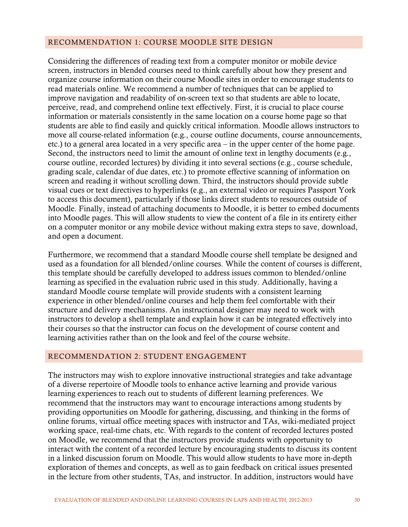# <span id="page-35-0"></span>RECOMMENDATION 1: COURSE MOODLE SITE DESIGN

Considering the differences of reading text from a computer monitor or mobile device screen, instructors in blended courses need to think carefully about how they present and organize course information on their course Moodle sites in order to encourage students to read materials online. We recommend a number of techniques that can be applied to improve navigation and readability of on-screen text so that students are able to locate, perceive, read, and comprehend online text effectively. First, it is crucial to place course information or materials consistently in the same location on a course home page so that students are able to find easily and quickly critical information. Moodle allows instructors to move all course-related information (e.g., course outline documents, course announcements, etc.) to a general area located in a very specific area – in the upper center of the home page. Second, the instructors need to limit the amount of online text in lengthy documents (e.g., course outline, recorded lectures) by dividing it into several sections (e.g., course schedule, grading scale, calendar of due dates, etc.) to promote effective scanning of information on screen and reading it without scrolling down. Third, the instructors should provide subtle visual cues or text directives to hyperlinks (e.g., an external video or requires Passport York to access this document), particularly if those links direct students to resources outside of Moodle. Finally, instead of attaching documents to Moodle, it is better to embed documents into Moodle pages. This will allow students to view the content of a file in its entirety either on a computer monitor or any mobile device without making extra steps to save, download, and open a document.

Furthermore, we recommend that a standard Moodle course shell template be designed and used as a foundation for all blended/online courses. While the content of courses is different, this template should be carefully developed to address issues common to blended/online learning as specified in the evaluation rubric used in this study. Additionally, having a standard Moodle course template will provide students with a consistent learning experience in other blended/online courses and help them feel comfortable with their structure and delivery mechanisms. An instructional designer may need to work with instructors to develop a shell template and explain how it can be integrated effectively into their courses so that the instructor can focus on the development of course content and learning activities rather than on the look and feel of the course website.

# <span id="page-35-1"></span>RECOMMENDATION 2: STUDENT ENGAGEMENT

The instructors may wish to explore innovative instructional strategies and take advantage of a diverse repertoire of Moodle tools to enhance active learning and provide various learning experiences to reach out to students of different learning preferences. We recommend that the instructors may want to encourage interactions among students by providing opportunities on Moodle for gathering, discussing, and thinking in the forms of online forums, virtual office meeting spaces with instructor and TAs, wiki-mediated project working space, real-time chats, etc. With regards to the content of recorded lectures posted on Moodle, we recommend that the instructors provide students with opportunity to interact with the content of a recorded lecture by encouraging students to discuss its content in a linked discussion forum on Moodle. This would allow students to have more in-depth exploration of themes and concepts, as well as to gain feedback on critical issues presented in the lecture from other students, TAs, and instructor. In addition, instructors would have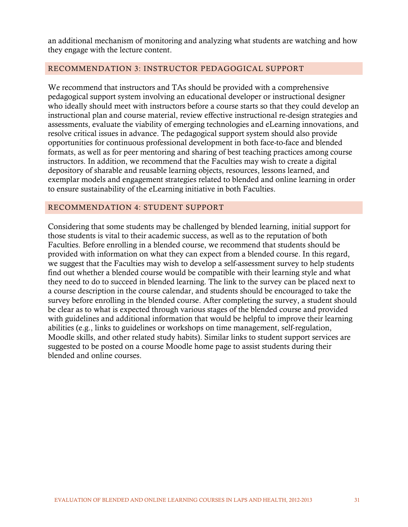an additional mechanism of monitoring and analyzing what students are watching and how they engage with the lecture content.

# <span id="page-36-0"></span>RECOMMENDATION 3: INSTRUCTOR PEDAGOGICAL SUPPORT

We recommend that instructors and TAs should be provided with a comprehensive pedagogical support system involving an educational developer or instructional designer who ideally should meet with instructors before a course starts so that they could develop an instructional plan and course material, review effective instructional re-design strategies and assessments, evaluate the viability of emerging technologies and eLearning innovations, and resolve critical issues in advance. The pedagogical support system should also provide opportunities for continuous professional development in both face-to-face and blended formats, as well as for peer mentoring and sharing of best teaching practices among course instructors. In addition, we recommend that the Faculties may wish to create a digital depository of sharable and reusable learning objects, resources, lessons learned, and exemplar models and engagement strategies related to blended and online learning in order to ensure sustainability of the eLearning initiative in both Faculties.

#### <span id="page-36-1"></span>RECOMMENDATION 4: STUDENT SUPPORT

Considering that some students may be challenged by blended learning, initial support for those students is vital to their academic success, as well as to the reputation of both Faculties. Before enrolling in a blended course, we recommend that students should be provided with information on what they can expect from a blended course. In this regard, we suggest that the Faculties may wish to develop a self-assessment survey to help students find out whether a blended course would be compatible with their learning style and what they need to do to succeed in blended learning. The link to the survey can be placed next to a course description in the course calendar, and students should be encouraged to take the survey before enrolling in the blended course. After completing the survey, a student should be clear as to what is expected through various stages of the blended course and provided with guidelines and additional information that would be helpful to improve their learning abilities (e.g., links to guidelines or workshops on time management, self-regulation, Moodle skills, and other related study habits). Similar links to student support services are suggested to be posted on a course Moodle home page to assist students during their blended and online courses.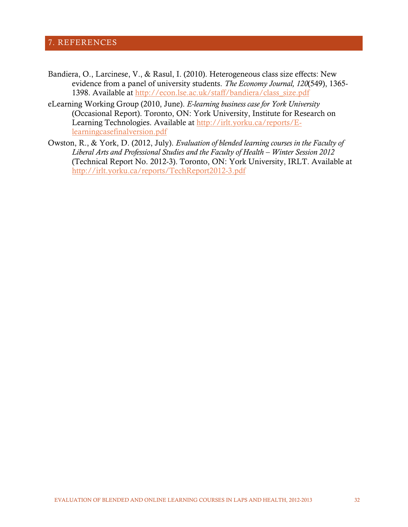# <span id="page-37-0"></span>7. REFERENCES

- Bandiera, O., Larcinese, V., & Rasul, I. (2010). Heterogeneous class size effects: New evidence from a panel of university students. *The Economy Journal, 120*(549), 1365- 1398. Available at [http://econ.lse.ac.uk/staff/bandiera/class\\_size.pdf](http://econ.lse.ac.uk/staff/bandiera/class_size.pdf)
- eLearning Working Group (2010, June). *E-learning business case for York University*  (Occasional Report). Toronto, ON: York University, Institute for Research on Learning Technologies. Available at [http://irlt.yorku.ca/reports/E](http://irlt.yorku.ca/reports/E-learningcasefinalversion.pdf)[learningcasefinalversion.pdf](http://irlt.yorku.ca/reports/E-learningcasefinalversion.pdf)
- Owston, R., & York, D. (2012, July). *Evaluation of blended learning courses in the Faculty of Liberal Arts and Professional Studies and the Faculty of Health – Winter Session 2012* (Technical Report No. 2012-3). Toronto, ON: York University, IRLT. Available at <http://irlt.yorku.ca/reports/TechReport2012-3.pdf>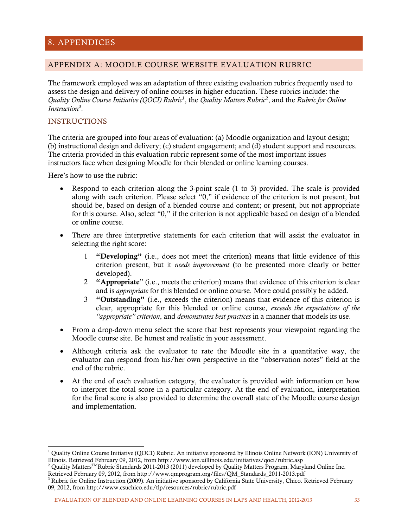# <span id="page-38-0"></span>8. APPENDICES

#### <span id="page-38-1"></span>APPENDIX A: MOODLE COURSE WEBSITE EVALUATION RUBRIC

The framework employed was an adaptation of three existing evaluation rubrics frequently used to assess the design and delivery of online courses in higher education. These rubrics include: the Quality Online Course Initiative (QOCI) Rubric<sup>[1](#page-38-2)</sup>, the Quality Matters Rubric<sup>[2](#page-38-3)</sup>, and the *Rubric for Online Instruction*[3](#page-38-4) .

#### INSTRUCTIONS

The criteria are grouped into four areas of evaluation: (a) Moodle organization and layout design; (b) instructional design and delivery; (c) student engagement; and (d) student support and resources. The criteria provided in this evaluation rubric represent some of the most important issues instructors face when designing Moodle for their blended or online learning courses.

Here's how to use the rubric:

- Respond to each criterion along the 3-point scale (1 to 3) provided. The scale is provided along with each criterion. Please select "0," if evidence of the criterion is not present, but should be, based on design of a blended course and content; or present, but not appropriate for this course. Also, select "0," if the criterion is not applicable based on design of a blended or online course.
- There are three interpretive statements for each criterion that will assist the evaluator in selecting the right score:
	- 1 "Developing" (i.e., does not meet the criterion) means that little evidence of this criterion present, but it *needs improvement* (to be presented more clearly or better developed).
	- 2 "Appropriate" (i.e., meets the criterion) means that evidence of this criterion is clear and is *appropriate* for this blended or online course. More could possibly be added.
	- 3 "Outstanding" (i.e., exceeds the criterion) means that evidence of this criterion is clear, appropriate for this blended or online course, *exceeds the expectations of the "appropriate" criterion*, and *demonstrates best practices* in a manner that models its use.
- From a drop-down menu select the score that best represents your viewpoint regarding the Moodle course site. Be honest and realistic in your assessment.
- Although criteria ask the evaluator to rate the Moodle site in a quantitative way, the evaluator can respond from his/her own perspective in the "observation notes" field at the end of the rubric.
- At the end of each evaluation category, the evaluator is provided with information on how to interpret the total score in a particular category. At the end of evaluation, interpretation for the final score is also provided to determine the overall state of the Moodle course design and implementation.

<span id="page-38-2"></span> <sup>1</sup> Quality Online Course Initiative (QOCI) Rubric. An initiative sponsored by Illinois Online Network (ION) University of Illinois. Retrieved February 09, 2012, from http://www.ion.uillinois.edu/initiatives/qoci/rubric.asp

<span id="page-38-3"></span><sup>&</sup>lt;sup>2</sup> Quality Matters<sup>TM</sup>Rubric Standards 2011-2013 (2011) developed by Quality Matters Program, Maryland Online Inc. Retrieved February 09, 2012, from http://www.qmprogram.org/files/QM\_Standards\_2011-2013.pdf

<span id="page-38-4"></span> $3$  Rubric for Online Instruction (2009). An initiative sponsored by California State University, Chico. Retrieved February 09, 2012, from http://www.csuchico.edu/tlp/resources/rubric/rubric.pdf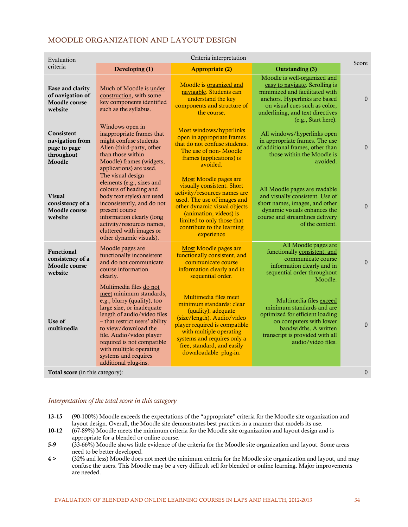| Evaluation                                                            | Criteria interpretation                                                                                                                                                                                                                                                                                                                      |                                                                                                                                                                                                                                                          |                                                                                                                                                                                                                               |                  |  |
|-----------------------------------------------------------------------|----------------------------------------------------------------------------------------------------------------------------------------------------------------------------------------------------------------------------------------------------------------------------------------------------------------------------------------------|----------------------------------------------------------------------------------------------------------------------------------------------------------------------------------------------------------------------------------------------------------|-------------------------------------------------------------------------------------------------------------------------------------------------------------------------------------------------------------------------------|------------------|--|
| criteria                                                              | Developing (1)                                                                                                                                                                                                                                                                                                                               | <b>Appropriate (2)</b>                                                                                                                                                                                                                                   | <b>Outstanding (3)</b>                                                                                                                                                                                                        | Score            |  |
| Ease and clarity<br>of navigation of<br>Moodle course<br>website      | Much of Moodle is under<br>construction, with some<br>key components identified<br>such as the syllabus.                                                                                                                                                                                                                                     | Moodle is organized and<br>navigable. Students can<br>understand the key<br>components and structure of<br>the course.                                                                                                                                   | Moodle is well-organized and<br>easy to navigate. Scrolling is<br>minimized and facilitated with<br>anchors. Hyperlinks are based<br>on visual cues such as color,<br>underlining, and text directives<br>(e.g., Start here). | $\theta$         |  |
| Consistent<br>navigation from<br>page to page<br>throughout<br>Moodle | Windows open in<br>inappropriate frames that<br>might confuse students.<br>Alien (third-party, other<br>than those within<br>Moodle) frames (widgets,<br>applications) are used.                                                                                                                                                             | Most windows/hyperlinks<br>open in appropriate frames<br>that do not confuse students.<br>The use of non-Moodle<br>frames (applications) is<br>avoided.                                                                                                  | All windows/hyperlinks open<br>in appropriate frames. The use<br>of additional frames, other than<br>those within the Moodle is<br>avoided.                                                                                   | $\boldsymbol{0}$ |  |
| <b>Visual</b><br>consistency of a<br>Moodle course<br>website         | The visual design<br>elements (e.g., sizes and<br>colours of heading and<br>body text styles) are used<br>inconsistently, and do not<br>present course<br>information clearly (long<br>activity/resources names,<br>cluttered with images or<br>other dynamic visuals).                                                                      | Most Moodle pages are<br>visually consistent. Short<br>activity/resources names are<br>used. The use of images and<br>other dynamic visual objects<br>(animation, videos) is<br>limited to only those that<br>contribute to the learning<br>experience   | All Moodle pages are readable<br>and visually consistent. Use of<br>short names, images, and other<br>dynamic visuals enhances the<br>course and streamlines delivery<br>of the content.                                      | $\theta$         |  |
| Functional<br>consistency of a<br>Moodle course<br>website            | Moodle pages are<br>functionally inconsistent<br>and do not communicate<br>course information<br>clearly.                                                                                                                                                                                                                                    | Most Moodle pages are<br>functionally consistent, and<br>communicate course<br>information clearly and in<br>sequential order.                                                                                                                           | All Moodle pages are<br>functionally consistent, and<br>communicate course<br>information clearly and in<br>sequential order throughout<br>Moodle.                                                                            | $\Omega$         |  |
| Use of<br>multimedia                                                  | Multimedia files do not<br>meet minimum standards,<br>e.g., blurry (quality), too<br>large size, or inadequate<br>length of audio/video files<br>- that restrict users' ability<br>to view/download the<br>file. Audio/video player<br>required is not compatible<br>with multiple operating<br>systems and requires<br>additional plug-ins. | Multimedia files meet<br>minimum standards: clear<br>(quality), adequate<br>(size/length). Audio/video<br>player required is compatible<br>with multiple operating<br>systems and requires only a<br>free, standard, and easily<br>downloadable plug-in. | Multimedia files exceed<br>minimum standards and are<br>optimized for efficient loading<br>on computers with lower<br>bandwidths. A written<br>transcript is provided with all<br>audio/video files.                          | $\mathbf{0}$     |  |
| Total score (in this category):                                       |                                                                                                                                                                                                                                                                                                                                              |                                                                                                                                                                                                                                                          |                                                                                                                                                                                                                               | $\mathbf{0}$     |  |

#### *Interpretation of the total score in this category*

- 13-15 (90-100%) Moodle exceeds the expectations of the "appropriate" criteria for the Moodle site organization and layout design. Overall, the Moodle site demonstrates best practices in a manner that models its use.
- 10-12 (67-89%) Moodle meets the minimum criteria for the Moodle site organization and layout design and is appropriate for a blended or online course.
- 5-9 (33-66%) Moodle shows little evidence of the criteria for the Moodle site organization and layout. Some areas need to be better developed.
- 4 > (32% and less) Moodle does not meet the minimum criteria for the Moodle site organization and layout, and may confuse the users. This Moodle may be a very difficult sell for blended or online learning. Major improvements are needed.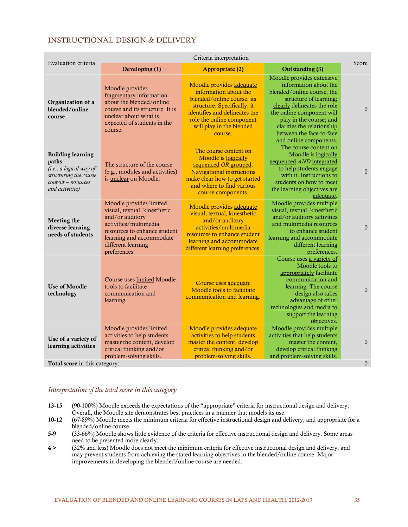# INSTRUCTIONAL DESIGN & DELIVERY

| Criteria interpretation<br>Evaluation criteria                                                                                   |                                                                                                                                                                                                       |                                                                                                                                                                                                                     |                                                                                                                                                                                                                                                                                       |                  |
|----------------------------------------------------------------------------------------------------------------------------------|-------------------------------------------------------------------------------------------------------------------------------------------------------------------------------------------------------|---------------------------------------------------------------------------------------------------------------------------------------------------------------------------------------------------------------------|---------------------------------------------------------------------------------------------------------------------------------------------------------------------------------------------------------------------------------------------------------------------------------------|------------------|
|                                                                                                                                  | Developing (1)                                                                                                                                                                                        | <b>Appropriate (2)</b>                                                                                                                                                                                              | <b>Outstanding (3)</b>                                                                                                                                                                                                                                                                | Score            |
| Organization of a<br>blended/online<br>course                                                                                    | Moodle provides<br>fragmentary information<br>about the blended/online<br>course and its structure. It is<br>unclear about what is<br>expected of students in the<br>course.                          | Moodle provides adequate<br>information about the<br>blended/online course, its<br>structure. Specifically, it<br>identifies and delineates the<br>role the online component<br>will play in the blended<br>course. | Moodle provides extensive<br>information about the<br>blended/online course, the<br>structure of learning;<br>clearly delineates the role<br>the online component will<br>play in the course; and<br>clarifies the relationship<br>between the face-to-face<br>and online components. | $\mathbf{0}$     |
| <b>Building learning</b><br>paths<br>(i.e., a logical way of<br>structuring the course<br>content - resources<br>and activities) | The structure of the course<br>(e.g., modules and activities)<br>is unclear on Moodle.                                                                                                                | The course content on<br>Moodle is logically<br>sequenced OR grouped.<br><b>Navigational instructions</b><br>make clear how to get started<br>and where to find various<br>course components.                       | The course content on<br>Moodle is logically<br>sequenced AND integrated<br>to help students engage<br>with it. Instructions to<br>students on how to meet<br>the learning objectives are<br>adequate.                                                                                | $\mathbf{0}$     |
| Meeting the<br>diverse learning<br>needs of students                                                                             | Moodle provides limited<br>visual, textual, kinesthetic<br>and/or auditory<br>activities/multimedia<br>resources to enhance student<br>learning and accommodate<br>different learning<br>preferences. | Moodle provides adequate<br>visual, textual, kinesthetic<br>and/or auditory<br>activities/multimedia<br>resources to enhance student<br>learning and accommodate<br>different learning preferences.                 | Moodle provides multiple<br>visual, textual, kinesthetic<br>and/or auditory activities<br>and multimedia resources<br>to enhance student<br>learning and accommodate<br>different learning<br>preferences.                                                                            | $\mathbf{0}$     |
| <b>Use of Moodle</b><br>technology                                                                                               | Course uses limited Moodle<br>tools to facilitate<br>communication and<br>learning.                                                                                                                   | Course uses adequate<br>Moodle tools to facilitate<br>communication and learning.                                                                                                                                   | Course uses a variety of<br>Moodle tools to<br>appropriately facilitate<br>communication and<br>learning. The course<br>design also takes<br>advantage of other<br>technologies and media to<br>support the learning<br>objectives.                                                   | $\boldsymbol{0}$ |
| Use of a variety of<br>learning activities                                                                                       | Moodle provides limited<br>activities to help students<br>master the content, develop<br>critical thinking and/or<br>problem-solving skills.                                                          | Moodle provides adequate<br>activities to help students<br>master the content, develop<br>critical thinking and/or<br>problem-solving skills.                                                                       | Moodle provides multiple<br>activities that help students<br>master the content,<br>develop critical thinking<br>and problem-solving skills.                                                                                                                                          | $\mathbf{0}$     |
| Total score in this category:                                                                                                    |                                                                                                                                                                                                       |                                                                                                                                                                                                                     |                                                                                                                                                                                                                                                                                       | $\overline{0}$   |

#### *Interpretation of the total score in this category*

- 13-15 (90-100%) Moodle exceeds the expectations of the "appropriate" criteria for instructional design and delivery. Overall, the Moodle site demonstrates best practices in a manner that models its use.
- 10-12 (67-89%) Moodle meets the minimum criteria for effective instructional design and delivery, and appropriate for a blended/online course.
- 5-9 (33-66%) Moodle shows little evidence of the criteria for effective instructional design and delivery. Some areas need to be presented more clearly.
- 4 > (32% and less) Moodle does not meet the minimum criteria for effective instructional design and delivery, and may prevent students from achieving the stated learning objectives in the blended/online course. Major improvements in developing the blended/online course are needed.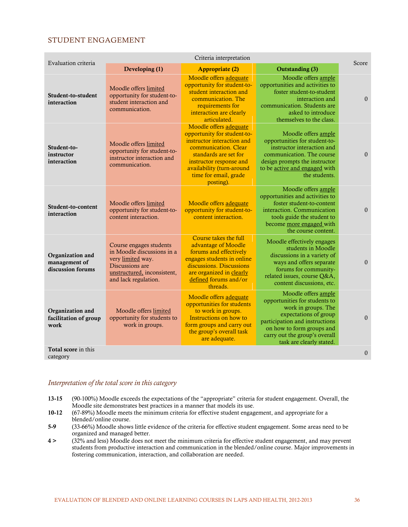#### STUDENT ENGAGEMENT

|                                                        | Criteria interpretation                                                                                                                              |                                                                                                                                                                                                                                    |                                                                                                                                                                                                                                  |              |  |
|--------------------------------------------------------|------------------------------------------------------------------------------------------------------------------------------------------------------|------------------------------------------------------------------------------------------------------------------------------------------------------------------------------------------------------------------------------------|----------------------------------------------------------------------------------------------------------------------------------------------------------------------------------------------------------------------------------|--------------|--|
| Evaluation criteria                                    | Developing (1)                                                                                                                                       | <b>Appropriate (2)</b>                                                                                                                                                                                                             | Outstanding (3)                                                                                                                                                                                                                  | Score        |  |
| Student-to-student<br>interaction                      | Moodle offers limited<br>opportunity for student-to-<br>student interaction and<br>communication.                                                    | Moodle offers adequate<br>opportunity for student-to-<br>student interaction and<br>communication. The<br>requirements for<br>interaction are clearly<br>articulated.                                                              | Moodle offers ample<br>opportunities and activities to<br>foster student-to-student<br>interaction and<br>communication. Students are<br>asked to introduce<br>themselves to the class.                                          | $\theta$     |  |
| Student-to-<br>instructor<br>interaction               | Moodle offers limited<br>opportunity for student-to-<br>instructor interaction and<br>communication.                                                 | Moodle offers adequate<br>opportunity for student-to-<br>instructor interaction and<br>communication. Clear<br>standards are set for<br>instructor response and<br>availability (turn-around<br>time for email, grade<br>posting). | Moodle offers ample<br>opportunities for student-to-<br>instructor interaction and<br>communication. The course<br>design prompts the instructor<br>to be active and engaged with<br>the students.                               | $\theta$     |  |
| Student-to-content<br>interaction                      | Moodle offers limited<br>opportunity for student-to-<br>content interaction.                                                                         | Moodle offers adequate<br>opportunity for student-to-<br>content interaction.                                                                                                                                                      | Moodle offers ample<br>opportunities and activities to<br>foster student-to-content<br>interaction. Communication<br>tools guide the student to<br>become more engaged with<br>the course content.                               | $\theta$     |  |
| Organization and<br>management of<br>discussion forums | Course engages students<br>in Moodle discussions in a<br>very limited way.<br>Discussions are<br>unstructured, inconsistent,<br>and lack regulation. | Course takes the full<br>advantage of Moodle<br>forums and effectively<br>engages students in online<br>discussions. Discussions<br>are organized in clearly<br>defined forums and/or<br>threads.                                  | Moodle effectively engages<br>students in Moodle<br>discussions in a variety of<br>ways and offers separate<br>forums for community-<br>related issues, course Q&A,<br>content discussions, etc.                                 | $\theta$     |  |
| Organization and<br>facilitation of group<br>work      | Moodle offers limited<br>opportunity for students to<br>work in groups.                                                                              | Moodle offers adequate<br>opportunities for students<br>to work in groups.<br>Instructions on how to<br>form groups and carry out<br>the group's overall task<br>are adequate.                                                     | Moodle offers ample<br>opportunities for students to<br>work in groups. The<br>expectations of group<br>participation and instructions<br>on how to form groups and<br>carry out the group's overall<br>task are clearly stated. | $\theta$     |  |
| Total score in this<br>category                        |                                                                                                                                                      |                                                                                                                                                                                                                                    |                                                                                                                                                                                                                                  | $\mathbf{0}$ |  |

#### *Interpretation of the total score in this category*

- 13-15 (90-100%) Moodle exceeds the expectations of the "appropriate" criteria for student engagement. Overall, the Moodle site demonstrates best practices in a manner that models its use.
- 10-12 (67-89%) Moodle meets the minimum criteria for effective student engagement, and appropriate for a blended/online course.
- 5-9 (33-66%) Moodle shows little evidence of the criteria for effective student engagement. Some areas need to be organized and managed better.
- 4 > (32% and less) Moodle does not meet the minimum criteria for effective student engagement, and may prevent students from productive interaction and communication in the blended/online course. Major improvements in fostering communication, interaction, and collaboration are needed.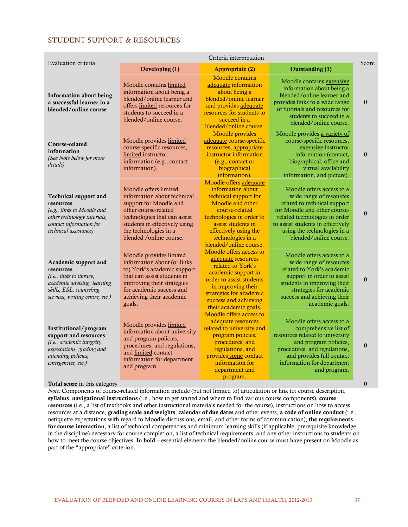#### STUDENT SUPPORT & RESOURCES

| Evaluation criteria                                                                                                                                               | Criteria interpretation                                                                                                                                                                                                     |                                                                                                                                                                                                                                      |                                                                                                                                                                                                                                                     |              |  |
|-------------------------------------------------------------------------------------------------------------------------------------------------------------------|-----------------------------------------------------------------------------------------------------------------------------------------------------------------------------------------------------------------------------|--------------------------------------------------------------------------------------------------------------------------------------------------------------------------------------------------------------------------------------|-----------------------------------------------------------------------------------------------------------------------------------------------------------------------------------------------------------------------------------------------------|--------------|--|
|                                                                                                                                                                   | Developing (1)                                                                                                                                                                                                              | <b>Appropriate (2)</b>                                                                                                                                                                                                               | <b>Outstanding (3)</b>                                                                                                                                                                                                                              | Score        |  |
| Information about being<br>a successful learner in a<br>blended/online course                                                                                     | Moodle contains limited<br>information about being a<br>blended/online learner and<br>offers limited resources for<br>students to succeed in a<br>blended/online course.                                                    | <b>Moodle</b> contains<br>adequate information<br>about being a<br>blended/online learner<br>and provides adequate<br>resources for students to<br>succeed in a<br>blended/online course.                                            | Moodle contains extensive<br>information about being a<br>blended/online learner and<br>provides links to a wide range<br>of tutorials and resources for<br>students to succeed in a<br>blended/online course.                                      | $\mathbf{0}$ |  |
| Course-related<br>information<br>(See Note below for more<br>details)                                                                                             | Moodle provides limited<br>course-specific resources,<br>limited instructor<br>information (e.g., contact<br>information).                                                                                                  | Moodle provides<br>adequate course-specific<br>resources, appropriate<br>instructor information<br>(e.g., contact or<br>biographical<br>information).                                                                                | Moodle provides a variety of<br>course-specific resources,<br>extensive instructor<br>information (contact,<br>biographical, office and<br>virtual availability<br>information, and picture).                                                       | $\theta$     |  |
| <b>Technical support and</b><br>resources<br>(e.g., links to Moodle and<br>other technology tutorials,<br>contact information for<br>technical assistance)        | Moodle offers limited<br>information about technical<br>support for Moodle and<br>other course-related<br>technologies that can assist<br>students in effectively using<br>the technologies in a<br>blended /online course. | Moodle offers adequate<br>information about<br>technical support for<br>Moodle and other<br>course-related<br>technologies in order to<br>assist students in<br>effectively using the<br>technologies in a<br>blended/online course. | Moodle offers access to a<br>wide range of resources<br>related to technical support<br>for Moodle and other course-<br>related technologies in order<br>to assist students in effectively<br>using the technologies in a<br>blended/online course. | $\mathbf{0}$ |  |
| Academic support and<br>resources<br><i>(i.e., links to library,</i><br>academic advising, learning<br>skills, ESL, counseling<br>services, writing centre, etc.) | Moodle provides limited<br>information about (or links<br>to) York's academic support<br>that can assist students in<br>improving their strategies<br>for academic success and<br>achieving their academic<br>goals.        | Moodle offers access to<br>adequate resources<br>related to York's<br>academic support in<br>order to assist students<br>in improving their<br>strategies for academic<br>success and achieving<br>their academic goals.             | Moodle offers access to a<br>wide range of resources<br>related to York's academic<br>support in order to assist<br>students in improving their<br>strategies for academic<br>success and achieving their<br>academic goals.                        | $\theta$     |  |
| Institutional/program<br>support and resources<br>(i.e., academic integrity<br>expectations, grading and<br>attending policies,<br>emergencies, etc.)             | Moodle provides limited<br>information about university<br>and program policies,<br>procedures, and regulations,<br>and limited contact<br>information for department<br>and program.                                       | Moodle offers access to<br>adequate resources<br>related to university and<br>program policies,<br>procedures, and<br>regulations, and<br>provides some contact<br>information for<br>department and<br>program.                     | Moodle offers access to a<br>comprehensive list of<br>resources related to university<br>and program policies,<br>procedures, and regulations,<br>and provides full contact<br>information for department<br>and program.                           | $\theta$     |  |
| <b>Total score</b> in this category                                                                                                                               |                                                                                                                                                                                                                             |                                                                                                                                                                                                                                      |                                                                                                                                                                                                                                                     | $\mathbf{0}$ |  |

*Note:* Components of course-related information include (but not limited to) articulation or link to: course description, syllabus, navigational instructions (i.e., how to get started and where to find various course components), course resources (i.e., a list of textbooks and other instructional materials needed for the course), instructions on how to access resources at a distance, grading scale and weights, calendar of due dates and other events, a code of online conduct (i.e., netiquette expectations with regard to Moodle discussions, email, and other forms of communication), the requirements for course interaction, a list of technical competencies and minimum learning skills (if applicable, prerequisite knowledge in the discipline) necessary for course completion, a list of technical requirements, and any other instructions to students on how to meet the course objectives. In bold – essential elements the blended/online course must have present on Moodle as part of the "appropriate" criterion.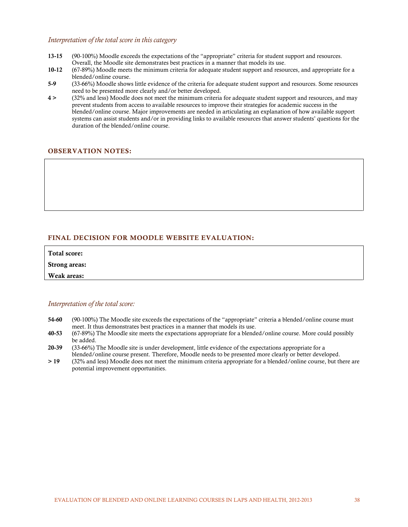#### *Interpretation of the total score in this category*

- 13-15 (90-100%) Moodle exceeds the expectations of the "appropriate" criteria for student support and resources. Overall, the Moodle site demonstrates best practices in a manner that models its use.
- 10-12 (67-89%) Moodle meets the minimum criteria for adequate student support and resources, and appropriate for a blended/online course.
- 5-9 (33-66%) Moodle shows little evidence of the criteria for adequate student support and resources. Some resources need to be presented more clearly and/or better developed.
- 4 > (32% and less) Moodle does not meet the minimum criteria for adequate student support and resources, and may prevent students from access to available resources to improve their strategies for academic success in the blended/online course. Major improvements are needed in articulating an explanation of how available support systems can assist students and/or in providing links to available resources that answer students' questions for the duration of the blended/online course.

#### OBSERVATION NOTES:

#### FINAL DECISION FOR MOODLE WEBSITE EVALUATION:

| Total score:         |  |  |
|----------------------|--|--|
| <b>Strong areas:</b> |  |  |
| Weak areas:          |  |  |

#### *Interpretation of the total score:*

- 54-60 (90-100%) The Moodle site exceeds the expectations of the "appropriate" criteria a blended/online course must meet. It thus demonstrates best practices in a manner that models its use.
- 40-53 (67-89%) The Moodle site meets the expectations appropriate for a blended/online course. More could possibly be added.
- 20-39 (33-66%) The Moodle site is under development, little evidence of the expectations appropriate for a blended/online course present. Therefore, Moodle needs to be presented more clearly or better developed.
- > 19 (32% and less) Moodle does not meet the minimum criteria appropriate for a blended/online course, but there are potential improvement opportunities.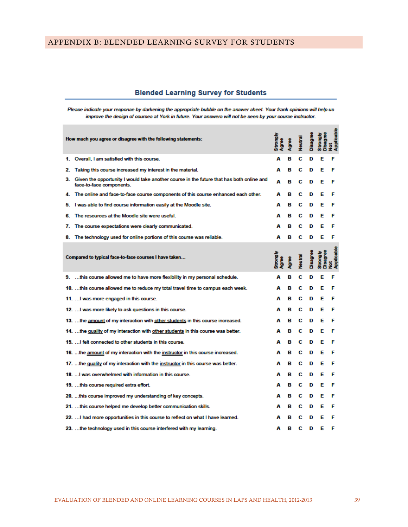#### <span id="page-44-0"></span>APPENDIX B: BLENDED LEARNING SURVEY FOR STUDENTS

# **Blended Learning Survey for Students**

Please indicate your response by darkening the appropriate bubble on the answer sheet. Your frank opinions will help us improve the design of courses at York in future. Your answers will not be seen by your course instructor.

| How much you agree or disagree with the following statements:                                                           | <b>Strongly</b> |   |                |          | trongh         | kable        |
|-------------------------------------------------------------------------------------------------------------------------|-----------------|---|----------------|----------|----------------|--------------|
|                                                                                                                         | <b>Agree</b>    |   | Veutral        |          |                |              |
| 1. Overall, I am satisfied with this course.                                                                            | A               | в | с              | D        |                |              |
| Taking this course increased my interest in the material.<br>2.                                                         | A               | в | С              | D        | E              |              |
| 3. Given the opportunity I would take another course in the future that has both online and<br>face-to-face components. | A               | в | С              | D        | Е              |              |
| 4. The online and face-to-face course components of this course enhanced each other.                                    |                 | в | С              | D        | Е              |              |
| I was able to find course information easily at the Moodle site.<br>5.                                                  | А               | в | С              | D        | Е              | F            |
| The resources at the Moodle site were useful.<br>6.                                                                     | A               | в | С              | D        | Е              |              |
| The course expectations were clearly communicated.<br>7.                                                                | А               | в | С              | D        | Е              |              |
| The technology used for online portions of this course was reliable.<br>8.                                              | A               | в | с              | D        | Е              | F            |
| Compared to typical face-to-face courses I have taken                                                                   | Manout<br>gree  |   | <b>Jeutral</b> | Disagree | <b>Strongh</b> | <b>Sepie</b> |
| 9.  this course allowed me to have more flexibility in my personal schedule.                                            | A               | в | с              | D        | Е              | F            |
| 10. this course allowed me to reduce my total travel time to campus each week.                                          | А               | в | С              | D        | Е              |              |
| 11.  I was more engaged in this course.                                                                                 | A               | в | с              | D        | Е              | F            |
| 12.  I was more likely to ask questions in this course.                                                                 | А               | в | с              | D        | Е              | F            |
| 13.  the amount of my interaction with other students in this course increased.                                         | A               | R | С              | D        | Е              |              |
| 14. the quality of my interaction with other students in this course was better.                                        | А               | в | С              | D        | Е              |              |
| 15.  I felt connected to other students in this course.                                                                 | д               | в | С              | D        | Е              |              |
| 16.  the amount of my interaction with the instructor in this course increased.                                         | A               | в | С              | D        | Е              |              |
| 17. the quality of my interaction with the instructor in this course was better.                                        | A               | в | С              | D        | Е              |              |
| 18.  I was overwhelmed with information in this course.                                                                 | А               | в | С              | D        | Е              |              |
| 19.  this course required extra effort.                                                                                 | А               | в | С              | D        | Е              |              |
| 20. this course improved my understanding of key concepts.                                                              | A               | в | С              | D        | Е              |              |
| 21.  this course helped me develop better communication skills.                                                         | А               | в | с              | D        | Е              | F            |
| 22.  I had more opportunities in this course to reflect on what I have learned.                                         |                 |   |                | D        | F              |              |
| 23.  the technology used in this course interfered with my learning.                                                    | A               | в | C              | D        | Е              | F            |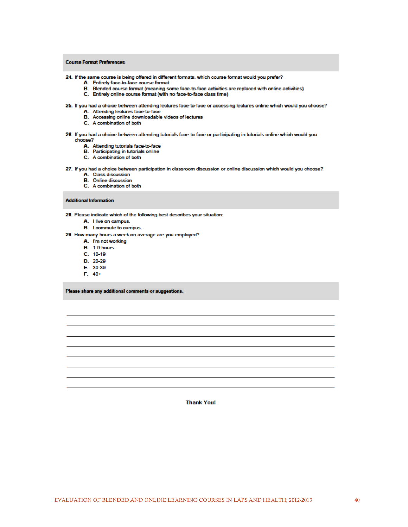#### **Course Format Preferences**

24. If the same course is being offered in different formats, which course format would you prefer?

- A. Entirely face-to-face course format
- B. Blended course format (meaning some face-to-face activities are replaced with online activities)
	- C. Entirely online course format (with no face-to-face class time)

#### 25. If you had a choice between attending lectures face-to-face or accessing lectures online which would you choose?

- A. Attending lectures face-to-face
- B. Accessing online downloadable videos of lectures
- C. A combination of both
- 26. If you had a choice between attending tutorials face-to-face or participating in tutorials online which would you choose?
	- A. Attending tutorials face-to-face
	- **B.** Participating in tutorials online
	- C. A combination of both

#### 27. If you had a choice between participation in classroom discussion or online discussion which would you choose?

- A. Class discussion
- **B.** Online discussion
- C. A combination of both

#### **Additional Information**

28. Please indicate which of the following best describes your situation:

- A. I live on campus.
- B. I commute to campus.

29. How many hours a week on average are you employed?

- A. I'm not working
- **B.** 1-9 hours
- $C. 10-19$
- D. 20-29
- E. 30-39
- $F. 40+$

Please share any additional comments or suggestions.

**Thank You!**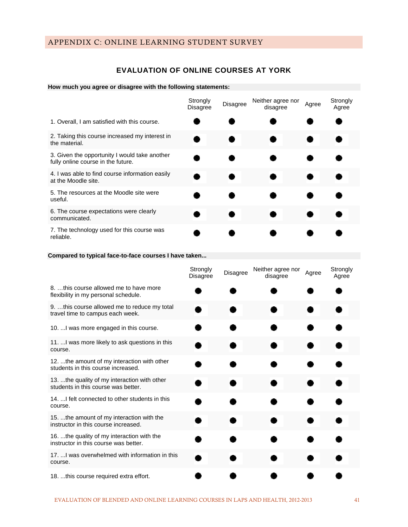# <span id="page-46-0"></span>APPENDIX C: ONLINE LEARNING STUDENT SURVEY

# **EVALUATION OF ONLINE COURSES AT YORK**

#### **How much you agree or disagree with the following statements:**

|                                                                                     | Strongly<br><b>Disagree</b> | <b>Disagree</b> | Neither agree nor<br>disagree | Agree | Strongly<br>Agree |
|-------------------------------------------------------------------------------------|-----------------------------|-----------------|-------------------------------|-------|-------------------|
| 1. Overall, I am satisfied with this course.                                        |                             |                 |                               |       |                   |
| 2. Taking this course increased my interest in<br>the material.                     |                             |                 |                               |       |                   |
| 3. Given the opportunity I would take another<br>fully online course in the future. |                             |                 |                               |       |                   |
| 4. I was able to find course information easily<br>at the Moodle site.              |                             |                 |                               |       |                   |
| 5. The resources at the Moodle site were<br>useful.                                 |                             |                 |                               |       |                   |
| 6. The course expectations were clearly<br>communicated.                            |                             |                 |                               |       |                   |
| 7. The technology used for this course was<br>reliable.                             |                             |                 |                               |       |                   |

#### **Compared to typical face-to-face courses I have taken...**

|                                                                                      | Strongly<br>Disagree | Disagree | Neither agree nor<br>Agree<br>disagree |  | Strongly<br>Agree |
|--------------------------------------------------------------------------------------|----------------------|----------|----------------------------------------|--|-------------------|
| 8. this course allowed me to have more<br>flexibility in my personal schedule.       |                      |          |                                        |  |                   |
| 9. this course allowed me to reduce my total<br>travel time to campus each week.     |                      |          |                                        |  |                   |
| 10.  I was more engaged in this course.                                              |                      |          |                                        |  |                   |
| 11.  I was more likely to ask questions in this<br>course.                           |                      |          |                                        |  |                   |
| 12.  the amount of my interaction with other<br>students in this course increased.   |                      |          |                                        |  |                   |
| 13. the quality of my interaction with other<br>students in this course was better.  |                      |          |                                        |  |                   |
| 14.  I felt connected to other students in this<br>course.                           |                      |          |                                        |  |                   |
| 15.  the amount of my interaction with the<br>instructor in this course increased.   |                      |          |                                        |  |                   |
| 16.  the quality of my interaction with the<br>instructor in this course was better. |                      |          |                                        |  |                   |
| 17.  I was overwhelmed with information in this<br>course.                           |                      |          |                                        |  |                   |
| 18. this course required extra effort.                                               |                      |          |                                        |  |                   |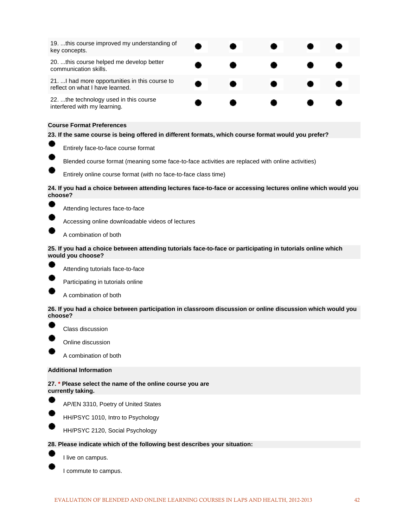| 19. this course improved my understanding of<br>key concepts.                      |  |  |  |
|------------------------------------------------------------------------------------|--|--|--|
| 20. this course helped me develop better<br>communication skills.                  |  |  |  |
| 21.  I had more opportunities in this course to<br>reflect on what I have learned. |  |  |  |
| 22.  the technology used in this course<br>interfered with my learning.            |  |  |  |

#### **Course Format Preferences**

#### **23. If the same course is being offered in different formats, which course format would you prefer?**



Entirely face-to-face course format

Blended course format (meaning some face-to-face activities are replaced with online activities)

Entirely online course format (with no face-to-face class time)

#### **24. If you had a choice between attending lectures face-to-face or accessing lectures online which would you choose?**



Attending lectures face-to-face

Accessing online downloadable videos of lectures

A combination of both

#### **25. If you had a choice between attending tutorials face-to-face or participating in tutorials online which would you choose?**



Attending tutorials face-to-face



A combination of both

**26. If you had a choice between participation in classroom discussion or online discussion which would you choose?**



Class discussion



Online discussion

A combination of both

#### **Additional Information**

**27. \* Please select the name of the online course you are currently taking.**



AP/EN 3310, Poetry of United States



HH/PSYC 2120, Social Psychology

#### **28. Please indicate which of the following best describes your situation:**



I live on campus.

I commute to campus.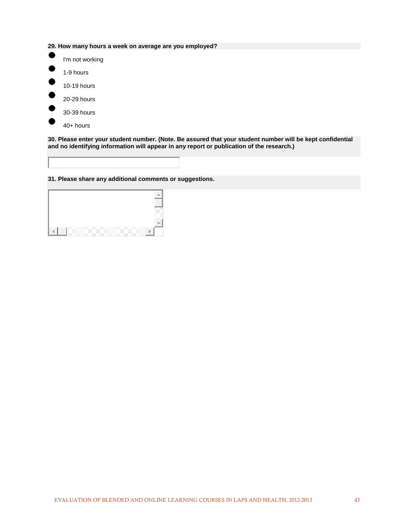**29. How many hours a week on average are you employed?**



**30. Please enter your student number. (Note. Be assured that your student number will be kept confidential and no identifying information will appear in any report or publication of the research.)**

**31. Please share any additional comments or suggestions.**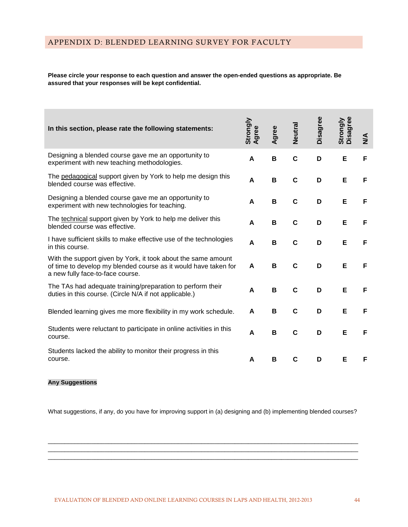#### <span id="page-49-0"></span>**Please circle your response to each question and answer the open-ended questions as appropriate. Be assured that your responses will be kept confidential.**

| In this section, please rate the following statements:                                                                                                               | Strongly<br>Agree | Agree | Neutral     | Disagree | Strongly<br>Disagree | $\frac{4}{2}$ |
|----------------------------------------------------------------------------------------------------------------------------------------------------------------------|-------------------|-------|-------------|----------|----------------------|---------------|
| Designing a blended course gave me an opportunity to<br>experiment with new teaching methodologies.                                                                  | A                 | B     | $\mathbf c$ | D        | Е                    | F             |
| The pedagogical support given by York to help me design this<br>blended course was effective.                                                                        | A                 | B     | $\mathbf c$ | D        | Е                    | F             |
| Designing a blended course gave me an opportunity to<br>experiment with new technologies for teaching.                                                               | A                 | B     | $\mathbf c$ | D        | Е                    | F             |
| The technical support given by York to help me deliver this<br>blended course was effective.                                                                         | A                 | B     | $\mathbf C$ | D        | E                    | F             |
| I have sufficient skills to make effective use of the technologies<br>in this course.                                                                                | A                 | В     | $\mathbf C$ | D        | Е                    | F             |
| With the support given by York, it took about the same amount<br>of time to develop my blended course as it would have taken for<br>a new fully face-to-face course. | A                 | B     | $\mathbf C$ | D        | Е                    | F             |
| The TAs had adequate training/preparation to perform their<br>duties in this course. (Circle N/A if not applicable.)                                                 | A                 | B     | $\mathbf C$ | D        | Е                    | F             |
| Blended learning gives me more flexibility in my work schedule.                                                                                                      | A                 | B     | C           | D        | Е                    | F             |
| Students were reluctant to participate in online activities in this<br>course.                                                                                       | A                 | В     | C           | D        | Е                    | F             |
| Students lacked the ability to monitor their progress in this<br>course.                                                                                             | A                 | B     | C           | D        | Е                    | F             |

#### **Any Suggestions**

What suggestions, if any, do you have for improving support in (a) designing and (b) implementing blended courses?

 $\overline{\phantom{a}}$  ,  $\overline{\phantom{a}}$  ,  $\overline{\phantom{a}}$  ,  $\overline{\phantom{a}}$  ,  $\overline{\phantom{a}}$  ,  $\overline{\phantom{a}}$  ,  $\overline{\phantom{a}}$  ,  $\overline{\phantom{a}}$  ,  $\overline{\phantom{a}}$  ,  $\overline{\phantom{a}}$  ,  $\overline{\phantom{a}}$  ,  $\overline{\phantom{a}}$  ,  $\overline{\phantom{a}}$  ,  $\overline{\phantom{a}}$  ,  $\overline{\phantom{a}}$  ,  $\overline{\phantom{a}}$  $\overline{\phantom{a}}$  ,  $\overline{\phantom{a}}$  ,  $\overline{\phantom{a}}$  ,  $\overline{\phantom{a}}$  ,  $\overline{\phantom{a}}$  ,  $\overline{\phantom{a}}$  ,  $\overline{\phantom{a}}$  ,  $\overline{\phantom{a}}$  ,  $\overline{\phantom{a}}$  ,  $\overline{\phantom{a}}$  ,  $\overline{\phantom{a}}$  ,  $\overline{\phantom{a}}$  ,  $\overline{\phantom{a}}$  ,  $\overline{\phantom{a}}$  ,  $\overline{\phantom{a}}$  ,  $\overline{\phantom{a}}$  $\_$  ,  $\_$  ,  $\_$  ,  $\_$  ,  $\_$  ,  $\_$  ,  $\_$  ,  $\_$  ,  $\_$  ,  $\_$  ,  $\_$  ,  $\_$  ,  $\_$  ,  $\_$  ,  $\_$  ,  $\_$  ,  $\_$  ,  $\_$  ,  $\_$  ,  $\_$  ,  $\_$  ,  $\_$  ,  $\_$  ,  $\_$  ,  $\_$  ,  $\_$  ,  $\_$  ,  $\_$  ,  $\_$  ,  $\_$  ,  $\_$  ,  $\_$  ,  $\_$  ,  $\_$  ,  $\_$  ,  $\_$  ,  $\_$  ,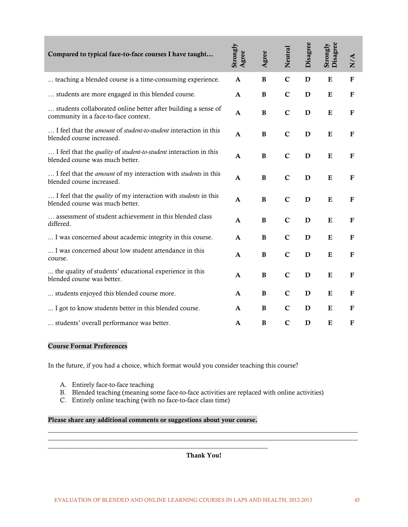| Compared to typical face-to-face courses I have taught                                                           | Strongly<br>Agree | Agree        | Neutral     | Disagree    | Disagree<br>Strongly | N/A          |
|------------------------------------------------------------------------------------------------------------------|-------------------|--------------|-------------|-------------|----------------------|--------------|
| teaching a blended course is a time-consuming experience.                                                        | $\mathbf{A}$      | $\, {\bf B}$ | $\mathbf C$ | D           | ${\bf E}$            | $\mathbf F$  |
| students are more engaged in this blended course.                                                                | $\mathbf{A}$      | $\, {\bf B}$ | $\mathbf C$ | D           | ${\bf E}$            | $\mathbf F$  |
| students collaborated online better after building a sense of<br>community in a face-to-face context.            | A                 | B            | $\mathbf C$ | D           | E                    | $\mathbf{F}$ |
| I feel that the amount of student-to-student interaction in this<br>blended course increased.                    | $\mathbf{A}$      | $\bf{B}$     | $\mathbf C$ | D           | E                    | $\mathbf F$  |
| I feel that the quality of student-to-student interaction in this<br>blended course was much better.             | $\mathbf{A}$      | $\, {\bf B}$ | $\mathbf C$ | $\mathbf D$ | ${\bf E}$            | $\mathbf F$  |
| I feel that the <i>amount</i> of my interaction with <i>students</i> in this<br>blended course increased.        | $\mathbf{A}$      | $\, {\bf B}$ | $\mathbf C$ | D           | ${\bf E}$            | $\mathbf F$  |
| I feel that the <i>quality</i> of my interaction with <i>students</i> in this<br>blended course was much better. | $\mathbf{A}$      | B            | $\mathbf C$ | D           | E                    | F            |
| assessment of student achievement in this blended class<br>differed.                                             | $\mathbf{A}$      | B            | $\mathbf C$ | D           | E                    | $\mathbf F$  |
| I was concerned about academic integrity in this course.                                                         | $\mathbf{A}$      | B            | $\mathbf C$ | D           | E                    | F            |
| I was concerned about low student attendance in this<br>course.                                                  | $\mathbf{A}$      | $\, {\bf B}$ | $\mathbf C$ | D           | ${\bf E}$            | $\mathbf F$  |
| the quality of students' educational experience in this<br>blended course was better.                            | A                 | B            | $\mathbf C$ | D           | E                    | F            |
| students enjoyed this blended course more.                                                                       | $\mathbf{A}$      | B            | $\mathbf C$ | $\mathbf D$ | E                    | $\mathbf F$  |
| I got to know students better in this blended course.                                                            | $\mathbf{A}$      | B            | $\mathbf C$ | $\mathbf D$ | E                    | $\mathbf{F}$ |
| students' overall performance was better.                                                                        | $\mathbf A$       | B            | $\mathbf C$ | D           | E                    | ${\bf F}$    |

#### Course Format Preferences

In the future, if you had a choice, which format would you consider teaching this course?

- A. Entirely face-to-face teaching
- B. Blended teaching (meaning some face-to-face activities are replaced with online activities)
- C. Entirely online teaching (with no face-to-face class time)

#### Please share any additional comments or suggestions about your course.

\_\_\_\_\_\_\_\_\_\_\_\_\_\_\_\_\_\_\_\_\_\_\_\_\_\_\_\_\_\_\_\_\_\_\_\_\_\_\_\_\_\_\_\_\_\_\_\_\_\_\_\_\_\_\_\_\_\_\_\_\_\_\_\_\_\_

#### Thank You!

\_\_\_\_\_\_\_\_\_\_\_\_\_\_\_\_\_\_\_\_\_\_\_\_\_\_\_\_\_\_\_\_\_\_\_\_\_\_\_\_\_\_\_\_\_\_\_\_\_\_\_\_\_\_\_\_\_\_\_\_\_\_\_\_\_\_\_\_\_\_\_\_\_\_\_\_\_\_\_\_\_\_\_\_\_\_\_\_\_\_\_\_\_ \_\_\_\_\_\_\_\_\_\_\_\_\_\_\_\_\_\_\_\_\_\_\_\_\_\_\_\_\_\_\_\_\_\_\_\_\_\_\_\_\_\_\_\_\_\_\_\_\_\_\_\_\_\_\_\_\_\_\_\_\_\_\_\_\_\_\_\_\_\_\_\_\_\_\_\_\_\_\_\_\_\_\_\_\_\_\_\_\_\_\_\_\_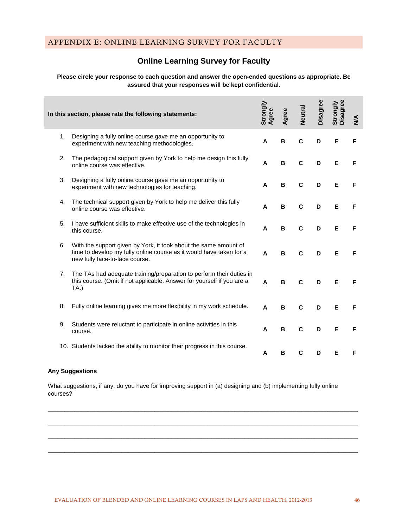# **Online Learning Survey for Faculty**

#### <span id="page-51-0"></span>**Please circle your response to each question and answer the open-ended questions as appropriate. Be assured that your responses will be kept confidential.**

|    | In this section, please rate the following statements:                                                                                                                    | Strongly<br>Agree | Agree | Neutral | Disagree | Disagree<br>Strongly | $\sum_{i=1}^{n}$ |
|----|---------------------------------------------------------------------------------------------------------------------------------------------------------------------------|-------------------|-------|---------|----------|----------------------|------------------|
| 1. | Designing a fully online course gave me an opportunity to<br>experiment with new teaching methodologies.                                                                  | A                 | B     | C       | D        | Е                    | F                |
| 2. | The pedagogical support given by York to help me design this fully<br>online course was effective.                                                                        | A                 | в     | C       | D        | Е                    | F                |
| 3. | Designing a fully online course gave me an opportunity to<br>experiment with new technologies for teaching.                                                               | A                 | B     | C       | D        | E                    | F                |
| 4. | The technical support given by York to help me deliver this fully<br>online course was effective.                                                                         | A                 | в     | C       | D        | Е                    | F                |
| 5. | I have sufficient skills to make effective use of the technologies in<br>this course.                                                                                     | A                 | B     | C       | D        | Е                    | F                |
| 6. | With the support given by York, it took about the same amount of<br>time to develop my fully online course as it would have taken for a<br>new fully face-to-face course. | A                 | в     | C       | D        | Е                    | F                |
| 7. | The TAs had adequate training/preparation to perform their duties in<br>this course. (Omit if not applicable. Answer for yourself if you are a<br>TA.)                    | A                 | в     | C       | D        | Е                    | F                |
| 8. | Fully online learning gives me more flexibility in my work schedule.                                                                                                      | A                 | B     | C       | D        | Е                    | F                |
| 9. | Students were reluctant to participate in online activities in this<br>course.                                                                                            | A                 | B     | C       | D        | Е                    | F                |
|    | 10. Students lacked the ability to monitor their progress in this course.                                                                                                 | A                 | в     | C       | D        | Е                    | F                |

#### **Any Suggestions**

What suggestions, if any, do you have for improving support in (a) designing and (b) implementing fully online courses?

 $\_$  ,  $\_$  ,  $\_$  ,  $\_$  ,  $\_$  ,  $\_$  ,  $\_$  ,  $\_$  ,  $\_$  ,  $\_$  ,  $\_$  ,  $\_$  ,  $\_$  ,  $\_$  ,  $\_$  ,  $\_$  ,  $\_$  ,  $\_$  ,  $\_$  ,  $\_$  ,  $\_$  ,  $\_$  ,  $\_$  ,  $\_$  ,  $\_$  ,  $\_$  ,  $\_$  ,  $\_$  ,  $\_$  ,  $\_$  ,  $\_$  ,  $\_$  ,  $\_$  ,  $\_$  ,  $\_$  ,  $\_$  ,  $\_$  ,

 $\_$  ,  $\_$  ,  $\_$  ,  $\_$  ,  $\_$  ,  $\_$  ,  $\_$  ,  $\_$  ,  $\_$  ,  $\_$  ,  $\_$  ,  $\_$  ,  $\_$  ,  $\_$  ,  $\_$  ,  $\_$  ,  $\_$  ,  $\_$  ,  $\_$  ,  $\_$  ,  $\_$  ,  $\_$  ,  $\_$  ,  $\_$  ,  $\_$  ,  $\_$  ,  $\_$  ,  $\_$  ,  $\_$  ,  $\_$  ,  $\_$  ,  $\_$  ,  $\_$  ,  $\_$  ,  $\_$  ,  $\_$  ,  $\_$  ,

 $\_$  ,  $\_$  ,  $\_$  ,  $\_$  ,  $\_$  ,  $\_$  ,  $\_$  ,  $\_$  ,  $\_$  ,  $\_$  ,  $\_$  ,  $\_$  ,  $\_$  ,  $\_$  ,  $\_$  ,  $\_$  ,  $\_$  ,  $\_$  ,  $\_$  ,  $\_$  ,  $\_$  ,  $\_$  ,  $\_$  ,  $\_$  ,  $\_$  ,  $\_$  ,  $\_$  ,  $\_$  ,  $\_$  ,  $\_$  ,  $\_$  ,  $\_$  ,  $\_$  ,  $\_$  ,  $\_$  ,  $\_$  ,  $\_$  ,

 $\_$  ,  $\_$  ,  $\_$  ,  $\_$  ,  $\_$  ,  $\_$  ,  $\_$  ,  $\_$  ,  $\_$  ,  $\_$  ,  $\_$  ,  $\_$  ,  $\_$  ,  $\_$  ,  $\_$  ,  $\_$  ,  $\_$  ,  $\_$  ,  $\_$  ,  $\_$  ,  $\_$  ,  $\_$  ,  $\_$  ,  $\_$  ,  $\_$  ,  $\_$  ,  $\_$  ,  $\_$  ,  $\_$  ,  $\_$  ,  $\_$  ,  $\_$  ,  $\_$  ,  $\_$  ,  $\_$  ,  $\_$  ,  $\_$  ,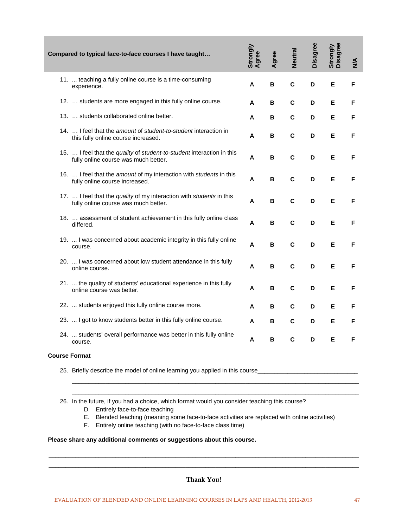| Compared to typical face-to-face courses I have taught                                                         | Strongly<br>Agree | Agree | <b>Neutral</b> | Disagree | Strongly<br>Disagree | $\frac{4}{2}$ |
|----------------------------------------------------------------------------------------------------------------|-------------------|-------|----------------|----------|----------------------|---------------|
| 11.  teaching a fully online course is a time-consuming<br>experience.                                         | A                 | в     | $\mathbf c$    | D        | Е                    | F             |
| 12.  students are more engaged in this fully online course.                                                    | A                 | в     | C              | D        | Е                    | F             |
| 13.  students collaborated online better.                                                                      | A                 | в     | $\mathbf c$    | D        | Е                    | F             |
| 14.  I feel that the amount of student-to-student interaction in<br>this fully online course increased.        | A                 | в     | $\mathbf c$    | D        | Е                    | F             |
| 15.  I feel that the quality of student-to-student interaction in this<br>fully online course was much better. | A                 | в     | $\mathbf c$    | D        | Е                    | F             |
| 16.  I feel that the amount of my interaction with students in this<br>fully online course increased.          | A                 | в     | C              | D        | Е                    | F             |
| 17.  I feel that the quality of my interaction with students in this<br>fully online course was much better.   | A                 | В     | $\mathbf c$    | D        | E                    | F             |
| 18.  assessment of student achievement in this fully online class<br>differed.                                 | A                 | в     | $\mathbf c$    | D        | Е                    | F             |
| 19.  I was concerned about academic integrity in this fully online<br>course.                                  | A                 | в     | $\mathbf c$    | D        | Е                    | F             |
| 20.  I was concerned about low student attendance in this fully<br>online course.                              | A                 | в     | $\mathbf c$    | D        | Е                    | F             |
| 21.  the quality of students' educational experience in this fully<br>online course was better.                | A                 | в     | C              | D        | Е                    | F             |
| 22.  students enjoyed this fully online course more.                                                           | A                 | в     | C              | D        | Е                    | F             |
| 23.  I got to know students better in this fully online course.                                                | A                 | в     | C              | D        | Е                    | F             |
| 24.  students' overall performance was better in this fully online<br>course.                                  | A                 | в     | $\mathbf c$    | D        | Е                    | F             |

#### **Course Format**

25. Briefly describe the model of online learning you applied in this course\_\_\_\_\_\_\_\_\_\_\_

26. In the future, if you had a choice, which format would you consider teaching this course?

- D. Entirely face-to-face teaching
- E. Blended teaching (meaning some face-to-face activities are replaced with online activities)

\_\_\_\_\_\_\_\_\_\_\_\_\_\_\_\_\_\_\_\_\_\_\_\_\_\_\_\_\_\_\_\_\_\_\_\_\_\_\_\_\_\_\_\_\_\_\_\_\_\_\_\_\_\_\_\_\_\_\_\_\_\_\_\_\_\_\_\_\_\_\_\_\_\_\_\_\_\_\_\_\_\_\_\_\_\_ \_\_\_\_\_\_\_\_\_\_\_\_\_\_\_\_\_\_\_\_\_\_\_\_\_\_\_\_\_\_\_\_\_\_\_\_\_\_\_\_\_\_\_\_\_\_\_\_\_\_\_\_\_\_\_\_\_\_\_\_\_\_\_\_\_\_\_\_\_\_\_\_\_\_\_\_\_\_\_\_\_\_\_\_\_\_

F. Entirely online teaching (with no face-to-face class time)

#### **Please share any additional comments or suggestions about this course.**

# Thank You!

 $\overline{\phantom{a}}$  , and the contribution of the contribution of the contribution of the contribution of the contribution of the contribution of the contribution of the contribution of the contribution of the contribution of the  $\_$  ,  $\_$  ,  $\_$  ,  $\_$  ,  $\_$  ,  $\_$  ,  $\_$  ,  $\_$  ,  $\_$  ,  $\_$  ,  $\_$  ,  $\_$  ,  $\_$  ,  $\_$  ,  $\_$  ,  $\_$  ,  $\_$  ,  $\_$  ,  $\_$  ,  $\_$  ,  $\_$  ,  $\_$  ,  $\_$  ,  $\_$  ,  $\_$  ,  $\_$  ,  $\_$  ,  $\_$  ,  $\_$  ,  $\_$  ,  $\_$  ,  $\_$  ,  $\_$  ,  $\_$  ,  $\_$  ,  $\_$  ,  $\_$  ,